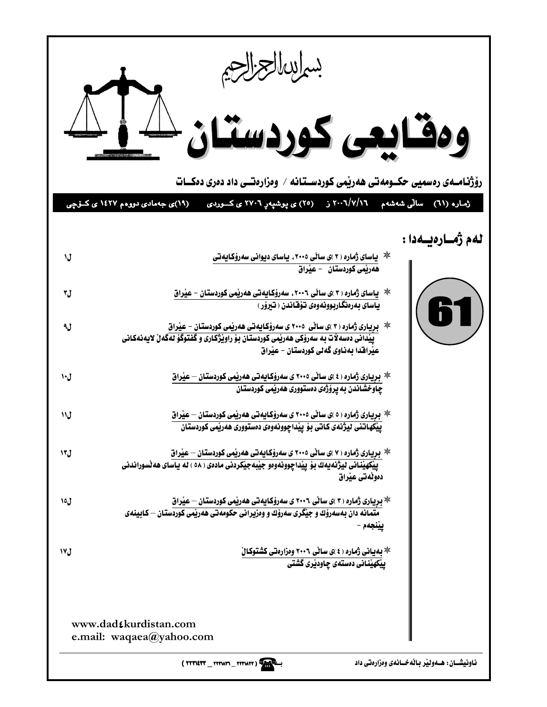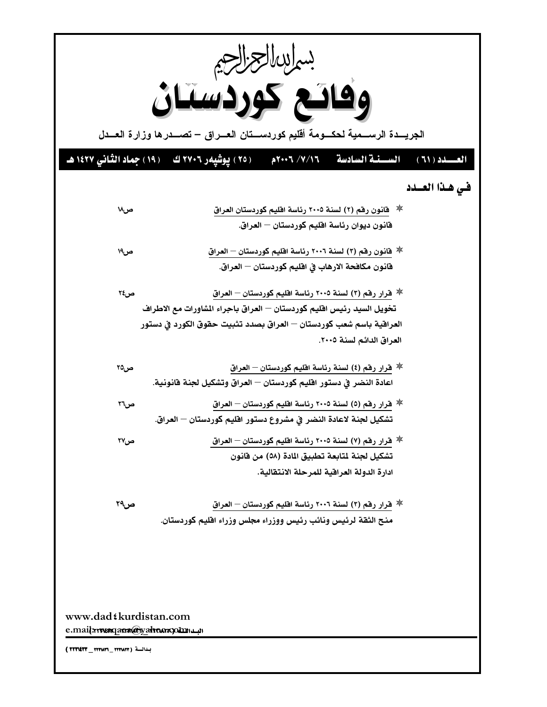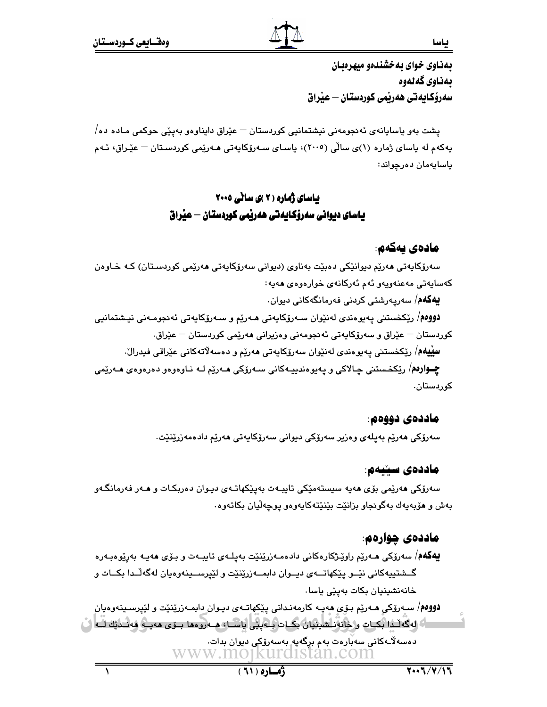بهذاوي خواي به خشندهو ميهرهدان بەناوي گەلەوە سەرۆكـايەتى ھەرپمى كوردستـان — عيراق

يشت بەو ياسايانەي ئەنجومەنى نيشتمانيي كوردستان — عێراق دايناوەو بەيێى حوكمى مـادە دە/ بەكەم لە باساي ژمارە (١)ي سالّى (٢٠٠٥)، باسـاي سـەرۆكابەتى ھـەرێمى كوردسـتان – عێـراق، ئـەم ياسايەمان دەرچواند:

## **باسای ژماره ( ۲ )ی سانی ۲۰۰۰** یاسای دیوانی سەرۆکایەتی ھەریمی کوردستان — عیراق

### مادەي يەكەم:

سەرۆكايەتى ھەرپە دېوانٽكى دەببّت بەناوى (دېوانى سەرۆكايەتى ھەرپمى كوردسىتان) كـە خـاوەن كەساپەتى مەعنەويەو ئەم ئەركانەي خوارەوەي ھەيە:

**بيەكەم**/ سەرپەرشتى كردنى فەرمانگەكانى دېوان.

**دووەم**/ رێِکخستنی پەيوەندى لەنێوان سـەرۆکاپەتى ھـەرێم و سـەرۆکاپەتى ئەنجومـەنى نيـشتمانيى کوردستان — عێراق و سەرۆکايەتى ئەنجومەنى وەزيرانى ھەرێمى کوردستان — عێراق. **سِيْيهْم**/ رێِكخستني پەيوەندى لەنێوان سەرۆكاپەتى ھەرێم و دەسەلاتەكانى عێراقى فېدرالّ.

**چــوارەم**/ رێِکخـستنی چـالاکی و یەيوەندییـەکانی سـەرۆکی مـەرێم لـە نـاوەوەو دەرەوەی مـەرێمی کوردستان،

#### ماددەي دووەم.

سەرۆكى ھەريم بەيلەي وەزير سەرۆكى دېوانى سەرۆكايەتى ھەريم دادەمەزرينيت.

#### ماددەي سىنيەم:

سەرۆكى ھەرێمى بۆي ھەيە سيستەمێكى تايبـەت بەيێكھاتـەي ديـوان دەربكـات و ھـەر فەرمانگـەو بەش و مۆبەيەك بەگونجاو بزانێت بێنێتەكايەوەو يوچەڵيان بكاتەوە.

### ماددەي چوارەم:

**يەگەم**/ سەرۆكى مەريم راويْـژكارەكانى دادەمـەزرينىيّت بەپلــەي تايبــەت و بـۆي مەيـە بەرپوەبـەرە گــشتيپهکاني نێــو پێکهاتـــهي ديــوان دابمـــهزرێنێت و لێيرســينهوهيان لهگهڵــدا بکــات و خانەنشىنيان بكات بەيێى ياسا.

**دووم**م/ ســهرۆکي هــهريم بـۆي هەيــه کارمەنـداني يـێکهاتــهي ديـوان دابمــهزرێنێت و لێيرســينـهوهيان اءً له گه لـّـدا بكــات و خانهنــشينيان بكــات بــه يـي پاســا، هــه روهها بــوَى ههيــه ههنــديّك لــه ( دەسەلاّـﻪﻛﺎﻧﻰ ﺳﻪﺑّﺎﺭﻩﺕ ﺑﻪﻡ ﺑﺮﮔﻪﭘﻪ ﺑﻪﺳﻪﺭﯙﻛﻰ ﺩﭘﻮﺍﻥ ﺑﺪﺍﺕ. www.mojkurdistan.com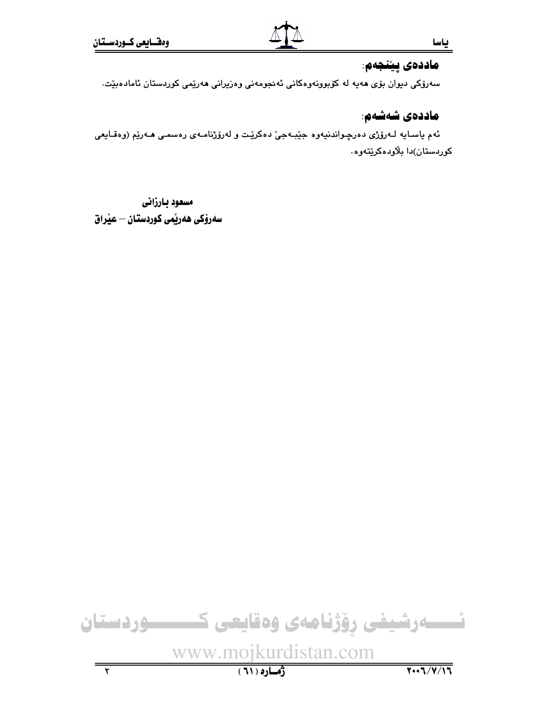### ماددەى يېنجەم.

سەرۆكى دېوان بۆي ھەپە لە كۆبورنەوەكانى ئەنجومەنى وەزيرانى ھەرپمى كوردستان ئامادەبيت.

## ماددەي شەشەم:

ئهم ياسـايه لـهرۆژى دەرچـواندنيەوە جێبـهجىٚ دەكرێـت و لەرۆژنامـەى رەسمـى ھـەرێم (وەقـايعى کوردستان)دا بلاودهکریتهوه.

مسعود بارزانى سەرۆكى ھەرپمى كوردستان — عيْراق

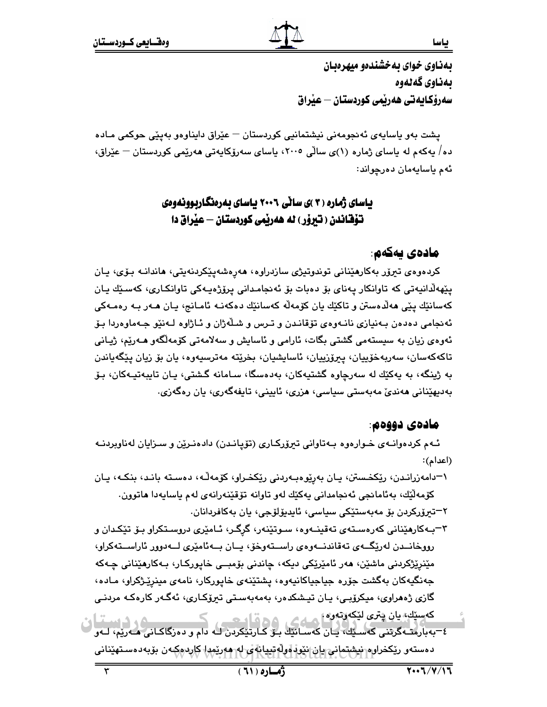بهناوي خواي بهخشندهو ميهرهبان بەناوي گەنەوە سەرۆكـايەتى ھەربمى كوردستان — عيراق

يشت بەو ياسايەي ئەنجومەنى نيشتمانيى كوردستان — عێراق دايناوەو بەيێى حوكمى مـادە دە/ يەكەم لە ياساي ژمارە (١)ى سالّى ٢٠٠٥، ياساي سەرۆكايەتى ھەرێمى كوردستان — عێراق، ئهم پاسايەمان دەرچواند:

## یاسای ژماره ( ۳ )ی سانی ۲۰۰٦ پاسای بهرهنگاربوونهوهی تۆقاندن ( تيرۆر ) له هەرپمى كوردستان — عيْراق دا

## مادەي يەكەم:

کردەوەي تېرۆر بەکارھێنانى توندوتيژى سازدراوە، ھەرەشەيێکردنەيتى، ھاندانـە بـۆي، يـان پێهەلّدانيەتى كە تاوانكار پەناي بۆ دەبات بۆ ئەنجامدانى پرۆژەپـەكى تاوانكـارى، كەسىيّك پـان كەسانٽِك يێي ھەڵدەستن و تاكێك يان كۆمەڵە كەسانێك دەكەنـﻪ ئامـانج، يـان ھـﻪر بـﻪ رەمـﻪكى ئەنجامى دەدەن بـەنيازى نانـەوەي تۆقانـدن و تـرس و شـلْەژان و ئـاژاوە لـەنێو جـەماوەردا بـۆ ئەوەي زيان بە سىستەمى گشتى بگات، ئارامى و ئاسايش و سەلامەتى كۆمەلگەو ھـەرێم، ژيـانى تاكەكەسان، سەريەخۆپپان، پېرۆزپپان، ئاساپشپان، بخرێتە مەترسپەوە، پان بۆ زيان پێگەپاندن به ژينگه، به پهکێك له سەرچاوه گشتيەكان، بەدەسگا، سـامانه گـشتى، پـان تايبەتپـەكان، بـۆ بەدىھێنانى ھەندىٚ مەبەستى سياسى، ھزرى، ئايينى، تايفەگەرى، يان رەگەزى.

#### مادەي دووەم.

ئـهم كردهوانـهى خـوارهوه بـهتاواني تيرۆركـارى (تۆيانـدن) دادهنـرێن و سـزايان لهناوبردنـه (اعدام):

- ۱–دامەزرانىدن، ريكخستن، يان بەريوەببەردنى ريكخىرار، كۆمەڭە، دەسىتە بانىد، بنكـە، يـان كۆمەلىِّك، بەئامانجى ئەنجامدانى يەكيّك لەو تاوانە تۆقپنەرانەي لەم ياسايەدا ھاتوون. ٢–تيرۆركردن بۆ مەبەستێكى سياسى، ئايدېۆلۆجى، يان بەكاڧردانان.
- ۳–بـهکارهێنانی کهرهسـتهی تهقینـهوه، سـوتێنهر، گرِگـر، ئـامێری دروسـتکراو بـۆ تێکـدان و رووخانــدن لەرێگــەي تەقاندنــەوەي راســتەوخۆ، يــان بــەئامێرى لــەدوور ئاراســتەكراو، مێنرێڗ۬کردنی ماشێن، ھەر ئامێرێکی دیکە، چاندنی بۆمبــی خاپورکـار، بـەکارھێنانی چـەکە جەنگيەكان بەگشت جۆرە جياجياكانيەوە، يشتێنەي خاپوركار، نامەي مىنرێژكراو، مـادە، گازى ژەھراوى، مېكرۆبىي، يان تېشكدەر، بەمەبەستى تېرۆكـارى، ئەگـەر كارەكـە مردنـى که سێك، پان پتري لێکه رته وه] هسله کي ده قبل است.
- **6د دست** ٤–بەبارمتەگرىنى كەسىپكە يان كەسانتك بىر كـارىتىكردن لـە دام و دەرگاكـانى ھـەرپم، لـەو دەستەر ريكخرارە نيشتمانى يان نێو. اولاتيپانا ي-لە-ھەريمدا كاردەكەن بۆبەدەسـتەينانى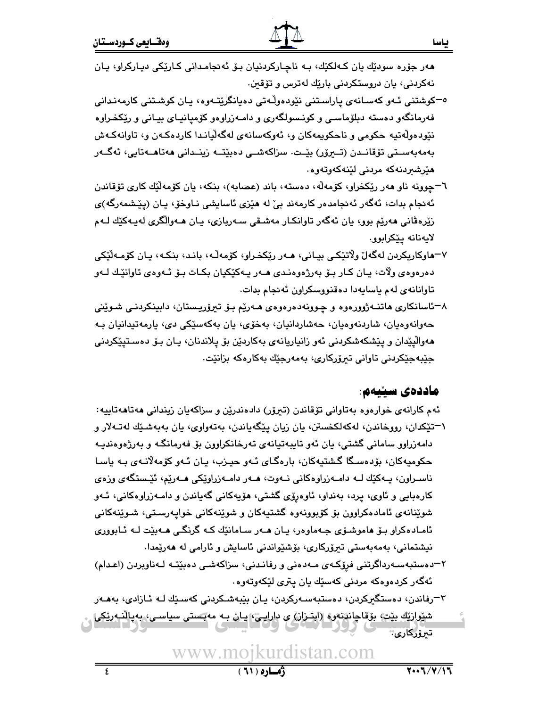هەر جۆرە سودێك يان كـﻪلكێك، بـﻪ ناچـاركردنيان بـۆ ئەنجامـدانى كـارێكى ديـاركراو، يـان نهکردنی، یان دروستکردنی بارێك لهترس و تۆقىن.

- <sup>ە—</sup>كوشتنى ئـەو كەسـانەي پاراسـتنى نێودەوڵـەتى دەپانگرێتـەوە، پـان كوشـتنى كارمەنـدانى فهرمانگهو دهسته دبلۆماسى و كونـسولگهرى و دامـهزراوهو كۆميانيـاى بيـانى و رێكخـراوه نێودەولّەتپە حكومى و ناحكويمەكان و، ئەوكەسانەي لەگەلّيانىدا كاردەكەن و، تاوانەكەش بەمەبەسىتى تۆقانىدن (تىىرۆر) بێت. سزاكەشىي دەبێتــە زينىدانى ھەتاھــەتابى، ئەگــەر هٽرشيردنه که مردني لٽنه کهوتهو ه
- ٦–چوونه ناو هەر رێكخراو، كۆمەلْه، دەستە، باند (عصابه)، بنكه، يان كۆمەلّێك كارى تۆقاندن ئەنجام بدات، ئەگەر ئەنجامدەر كارمەند بىّ لە ھێزى ئاسايشى نـاوخۆ، يـان (يێشمەرگە)ى زیْرەڤانی ھەرپْم بوو، يان ئەگەر تاوانکار مەشىقى سـەريازى، يـان ھـەوالْگرى لەيـەكێك لـەم لايەنانە يێكرابوو.
- ٧–هاوكاريكردن لەگەلّ ولاتێكے بيـانى، ھـەر رێكخـراو، كۆمەڵـﻪ، بانـد، بنكـه، يـان كۆمـەڵێكى دهرهوهي ولات، پان کـار بـۆ بەرژەوەنـدى ھـەر پـەکێکيان بکـات بـۆ ئـەوەي تاوانێـك لـەو .<br>تاوانانهی لهم یاسایهدا دهقنووسکراون ئهنجام بدات.
- ۸–ئاسانکاري هاتنــهژوورهوه و چـوونهدهرهوهي هــهرێم بـۆ تیرۆرپـستان، دابینکردنـی شـوێنی حەوانەوەيان، شاردنەوەيان، حەشاردانيان، بەخۆى، يان بەكەسێكى دى، يارمەتپدانيان بـە مەوالْپێدان و پێشكەشكردنى ئەو زانياريانەي بەكاردێن بۆ پلاندنان، يـان بـۆ دەسـتپێكردنى جێبەجێکردنى تاوانى تېرۆركارى، بەمەرجێك بەكارەكە بزانێت.

#### ماددەي سىنيەم:

- ئهم کارانهي خوارهوه بهتاواني تۆقاندن (تىرۆر) دادەندرێن و سزاکهپان زيندانى ھەتاھەتاپيە: ١-تێِکدان، رووخاندن، لەکەلکخستن، يان زيان يێگەياندن، بەتەواوى، يان بەبەشێك لەتـﻪلار و دامەزراوو سامانى گشتى، يان ئەو تايبەتيانەي تەرخانكراوون بۆ فەرمانگـە و بەرژەوەنديـە حکومیهکان، بۆدەسىگا گىشتيەكان، بارەگـاي ئـەو حيـزب، يـان ئـەو كۆمەلانـەي بـە ياسـا ناسـراون، پــهکێك لــه دامــهزراوهكانى نــهوت، هــهر دامــهزراوێكى هــهرێم، ئێـستگهى وزهى کارهبایی و ئاوی، پرد، بهنداو، ئاوهرۆی گشتی، هۆپەکانی گەپاندن و دامـەزراوەکانی، ئـەو شوێنانەي ئامادەكراوون بۆ كۆبوونەوە گشتپەكان و شوێنەكانى خواپەرسىتى، شىوێنەكانى ئامـادەكراو بـۆ ھاموشـۆي جـەماوەر، يـان ھـەر سـامانێك كـە گرنگـي ھـەبێت لـە ئـابوورى نیشتمانی، بەمەبەستى تىرۆركارى، بۆشئواندنى ئاسايش و ئارامى لە ھەرپمدا.
- ۲–دەستبەسـەرداگرتنى فرۆكـەي مـەدەنى و رفانـدنى، سزاكەشـى دەبێتـە لـەناويردن (اعـدام) ئەگەر كردەوەكە مردنى كەسێك يان پترى لێكەوتەوە.
- ۳–رفاندن، دەستگیرکردن، دەستبەسـەرکردن، يـان بێبەشـکردنى کەسـێك لـە ئـازادى، بەھـەر شێوارێڮ بێټ، بۆقاچاندنەوە (ابتـزان) ی دارايـێ، يـان بـه مەبـَستى سياسـى، بەيالنـەرێكى

<mark>ٽيۆركارى</mark>: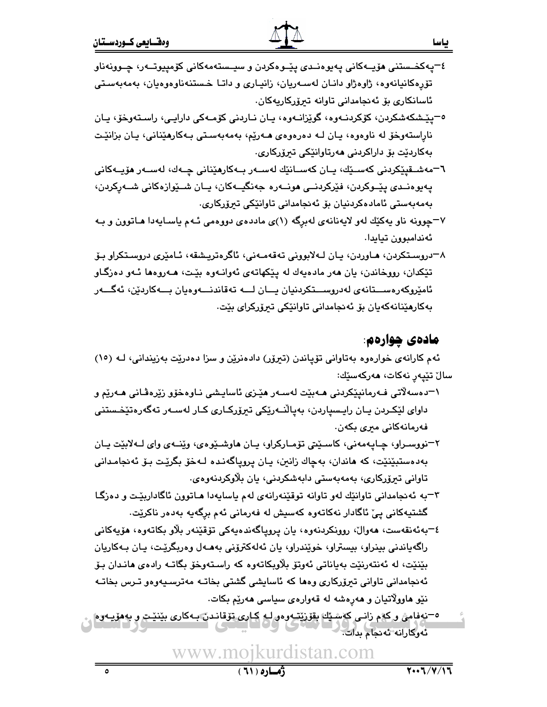- ٤–پەكخىستنى ھۆپـﻪكانى پەيوەنـﺪى پێـﻮەكردن و سپـﺴﺘﻪﻣﻪﻛﺎنى كۆﻣﭙﭙﻮﺗـﻪر، ﭼـﻮﻭﻧﻪﻧﺎﻭ تۆرەكانپانەوە، ژاوەژاو دانـان لەسـەريان، زانيـارى و داتـا خـستنـەناوەوەيان، بەمەبەسـتى ئاسانكاري بۆ ئەنجامدانى تاوانە تىرۆركاريەكان.
- ٥-يێشكەشكردن، كۆكردنـەوه، گوێزانـەوه، يـان نـاردنى كۆمـەكى دارايـى، راسـتەوخۆ، يـان نارِاستەوخۆ لە ناوەوە، يـان لــە دەرەوەي ھــەرێم، بەمەبەسـتى بـەكارھێنانى، يـان بزانێـت بەكاردێت بۆ داراكردنى ھەرتاوانێكى تىرۆركارى.
- ٦–مەشىقيٽكردنى كەسىڭە، يـان كەسـانٽِك لەسـەر بــەكارمێنانى چــەك، لەســەر مۆيــەكانى يەيوەنىدى يێىوكردن، ڧێركردنىي ھونــەرە جەنگيــەكان، يــان شــێوازەكانى شــەركردن، بەمەبەستى ئامادەكردنيان بۆ ئەنجامدانى تاوانٽكى تىرۆركارى.
- ۷–چوونه ناو پهکێك لهو لايهنانهي لهبرگه (۱)ي ماددهي دووهمي ئـهم ياسـايهدا هـاتوون و بـه ئەندامبوون تيايدا.
- ٨–دروسـتکردن، هـاوردن، پـان لـهلابووني تهقهمـهني، ئاگرەترپـشقه، ئـامێري دروسـتکراو بـۆ تێکدان، رووخاندن، یان ههر مادهیهك له یێکهاتهی ئهوانـهوه بێت، هـهروهها ئـهو دهزگـاو ئامێروکەرەســـتانەي لەدروســـتکردنيان يـــان لـــە تەقاندنـــەوەيان بـــەکاردێن، ئەگـــەر بەكارمێنانەكەپان بۆ ئەنجامدانى تاوانێكى تىرۆركراي بێت.

## مادەي چوارەم.

ياسا

ئهم کارانهی خوارهوه بهتاوانی تۆپاندن (تیرۆر) دادهنرین و سزا دهدریت بهزیندانی، لـه (١٥) سالْ تێپەر نەكات، <mark>م</mark>ەركەسێك:

- ١–دەسەلاتى فـﻪرمانىێكردنى ھـﻪبێت لەسـﻪر ھێـزى ئاسايـشى نـاوەخۆو زێرەڤـانى ھـﻪرێم و داواي لێِکـردن ڀـان راڀـسياردن، بەياڵنــەرێِکى تېرۆرکـارى کـار لەسـەر تەگەرەتێخـستنى فەرمانەكانى مېرى بكەن.
- ٢-نووسـراو، ڇـايـهمهني، کاسـێتي تۆمـارکراو، يـان هاوشـێوهي، وێنـهي واي لـهلابێت يـان بەدەستېيْنيْت، كە ھاندان، بەچاك زانىن، يان پروپاگەنىدە لـەخۆ بگريْت بـۆ ئەنجامـدانى تاوانی تیرۆركارى، بەمەبەستى دابەشكردنى، يان بلاوكردنەوەي.
- ۳–به ئه نجامداني تاوانێك لهو تاوانه توقێنهرانهي لهم ياسايهدا هـاتوون ئاگاداربێت و دهزگـا گشتيەكانى يىّ ئاگادار نەكاتەوە كەسپش لە فەرمانى ئەم برگەيە بەدەر ناكريّت.
- ٤–بەئەنقەست، ھەوال، روونكردنەوە، يان پروپاگەندەيەكى تۆقێنەر بلاّو بكاتەوە، ھۆيەكانى راگەياندنى بېنراو، بېستراو، خويندراو، يان ئەلەكترۆنى بەھـەل وەرېگريْـت، يـان بـەكاريان بێنێت، له ئەنتەرنێت بەياناتى ئەوتۆ بلاوبكاتەوە كە راستەوخۆ بگاتــه رادەي ھانـدان بـۆ ئەنجامدانی تاوانی تیرۆركاری وەھا كە ئاسايشى گشتى بخاتـە مەترسىيەوەو تـرس بخاتـە نێو هاوولاتیان و هەرەشە لە قەوارەي سیاسى هەرێم بکات.
- ٥–نەفامى و كەم زانـى كەسىيك بقۆزىتـەوەو لـە كـارى تۆقانـدن بـەكارى بينيـت و بەھۆيـەوە ئەوكارانە ئەنجام بدات.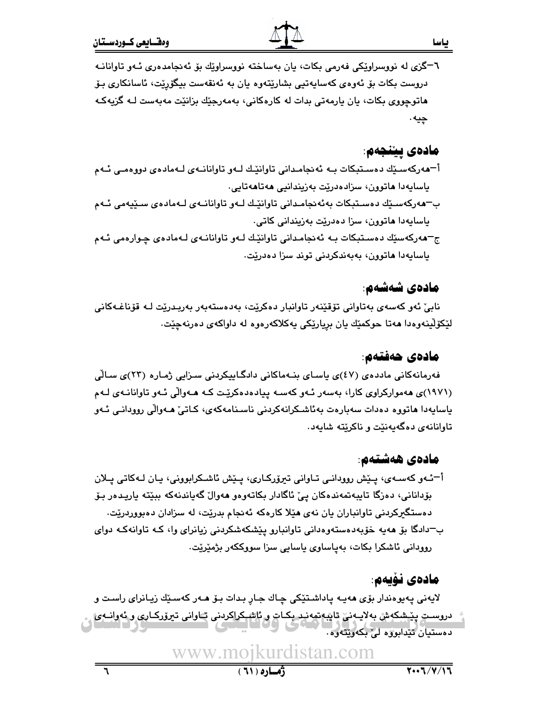٦–گزي له نووسراويکي فهرمي بکات، پان بهساخته نووسراويّك بۆ ئەنجامدەرى ئـهو تاوانانـه دروست بکات بۆ ئەوەي كەساپەتىي بشارێتەوە يان بە ئەنقەست بېگۆرێت، ئاسانكارى بىۆ هاتوچووي بکات، يان يارمەتى بدات لە کارەکانى، بەمەرجێك بزانێت مەبەست كە گزيەكە ڇپه .

## مادەي يېٽىجەم:

- أ-هەركەسىيك دەسىتېكات بـﻪ ئەنجامـدانى تاوانێـك لـﻪو تاوانانـﻪى لـﻪمادەى دووەمـى ئـﻪم ياسايەدا ھاتورن، سزادەدرێت بەزيندانيى ھەتاھەتايى.
- ب–هەركەسىيّك دەسىتېكات بەئەنجامىدانى تاوانيّىك لـەو تاوانانـەي لـەمادەي سىيّيەمى ئـەم ياسايەدا ھاتوون، سزا دەدرێت بەزيندانى كاتى.
- ج–هەركەسێك دەسـتېكات بـﻪ ئەنجامـدانى تاوانێك لـﻪو تاوانانـﻪى لـﻪمادەى چـوارەمى ئـﻪم ياسايەدا ھاتوون، بەبەندكردنى توند سزا دەدريت.

## مادەي شەشەم:

نابيّ ئەو كەسەي بەتاوانى تۆقێنەر تاوانبار دەكرێت، بەدەستەبەر بەربىدرێت لـﻪ قۆناغـﻪكانى لَيْكَوْلَيْنُّەوەدا ھەتا حوكمێك يان بريارێكى يەكلاكەرەوە لە داواكەي دەرنەچێت.

## مادەي ھەفتەم:

فەرمانەكانى ماددەي (٤٧)ى ياساي بنـﻪماكانى دادگـاييكردنى سـزايى ژمـارە (٢٣)ى سـالّى (۱۹۷۱)ی ههموارکراوی کارا، بهسهر ئـهو کهسـه پیادهدهکریِّت کـه هـهوالّی ئـهو تاوانانـهی لـهم ياسايەدا ھاتووە دەدات سەبارەت بەئاشىكرانەكردنى ناسىنامەكەي، كـاتىّ ھـەوالّى روودانـى ئـەو تاوانانهی دهگهیهنیّت و ناکریّته شایهد.

## مادەي ھەشتەم:

أ־ئـهو كهسـهي، پـێش روودانـي تـاواني تيرۆركـاري، پـێش ئاشـكرابووني، پـان لـهكاتي پـلان بۆدانانى، دەزگا تايبەتمەندەكان يىّ ئاگادار بكاتەوەو ھەوالْ گەياندنەكە بېيّتە ياريـدەر بـۆ دهستگیرکردنی تاوانباران یان نهی هێلا کارهکه ئهنجام بدرێت، له سزادان دهبووردرێت. ب–دادگا بۆ ھەپە خۆبەدەستەوەدانى تاوانبارو يێشكەشكردنى زيانراي وا، كـە تاوانەكـە دواي روودانى ئاشكرا بكات، بەياساوى ياسايى سزا سووككەر بژمێرێت.

## مادەي نۇپەم:

لايەنى پەيوەندار بۆى ھەپـە پاداشـتێكى چـاك جـار بـدات بـۆ ھـەر كەسـێك زيـانراى راسـت و دروسـتِ پِيْشِكِ ش بەلايـەنى تاپبەتمەنىد بكـات و ئاشـكراكردنى تـاوانى تىرۆركـارى و ئەوانـەئ دەستيان تێدابوژە لى بكەرێتەرە .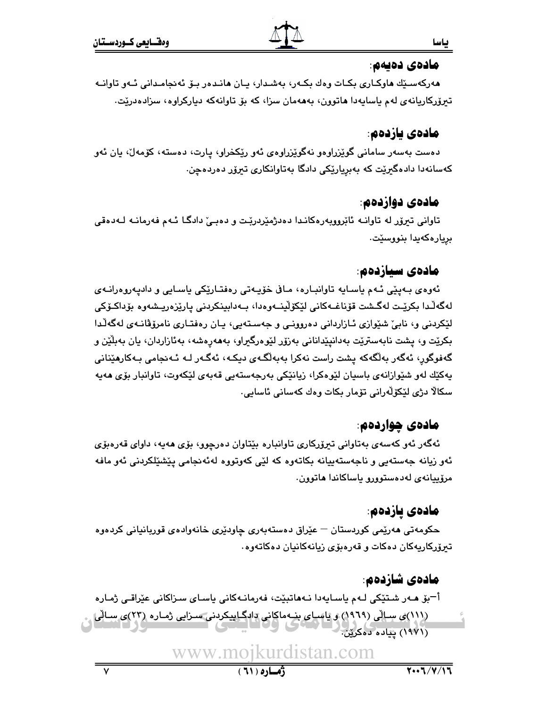### مادەي دەيەم:

هەركەسىيّك ھاوكـارى بكـات وەك بكـەر، بەشـدار، يـان ھانـدەر بـۆ ئەنجامـدانى ئـەو تاوانـە تيرۆركاريانەي لەم ياسايەدا ھاتوون، بەھەمان سزا، كە بۆ تاوانەكە دياركراوە، سزادەدرێت.

## مادەي يازدەم:

دەست بەسەر سامانى گوێزراوەو نەگوێزراوەى ئەو رێڬخراو، يارت، دەستە، كۆمەل، يان ئەو کەسانەدا دادەگیرێت کە بەبڕیارێکی دادگا بەتاوانکاری تیرۆر دەردەچن.

## مادەي دوازدەم:

تاوانی تیرۆر له تاوانـه ئابْرووبەرەكانـدا دەدژمێردربٚت و دەبـیٚ دادگـا ئـهم فەرمانـه لـەدەقى بريارەكەيدا بنووسێت.

## مادەي سىازدەم:

ئەوەي بـەيێى ئـەم ياسـايە تاوانبـارە، مـاڧى خۆپـەتى رەڧتـارێكى ياسـايى و داديەروەرانـەي لەگەلّدا بكريّـت لەگـشت قۆناغـەكانى لێكۆلّينــەوەدا، بــەدابينكردنى پارێزەريـشەوە بۆداكـۆكى لێکردنی و، نابیؒ شێوازی ئـازاردانی دەروونـی و جەسـتەيى، يـان رەفتـاری نامرۆڤانـەی لەگەڵـدا بکرێت و، پشت نابەسترێت بەدانیێدانانی بەزۆر لێوەرگیراو، بەھەرەشە، بەئازاردان، یان بەبلێن و گەفوگور، ئەگەر بەلگەكە يشت راست نەكرا بەبەلگـەي دېكـە، ئەگـەر لـە ئـەنجامى بـەكارھێنانى بەكێك لەو شێوازانەي باسيان لێوەكرا، زيانێكى بەرجەستەيى قەبەي لێكەوت، تاوانبار بۆي ھەبە سكالًا دڙي لڏِكۆلّەراني تۆمار بكات وەك كەسانى ئاسايى٠

## مادەي چواردەم.

ئەگەر ئەو كەسەي بەتاوانى تېرۆركارى تاوانبارە بێتاوان دەرچوو، بۆي ھەيە، داواي قەرەبۆي ئەو زیانە جەستەيى و ناجەستەييانە بكاتەوە كە لێى كەوتووە لەئەنجامى پێشێلكردنى ئەو مافە مرۆپيانەي لەدەستوررو ياساكاندا ھاتورن.

## ھادەي يازدەم:

حکومەتى ھەرێمى کوردستان – عێراق دەستەبەرى چاودێرى خانەوادەي قوربانيانى کردەوە تىرۆركاريەكان دەكات و قەرەبۆي زيانەكانيان دەكاتەوە.

## مادەي شازدەم:

أ¬بۆ ھـﻪر شـتێِکى لـﻪم ياسـايەدا نـﻪھاتبێت، فەرمانـﻪكانى ياسـاي سـزاكانى عێراقـي ژمـارە (۱۱۱)ی سالی (۱۹۹۹) و یاسای بنهماکانی دادگاییکردنی سزایی ژماره (۲۳)ی سالی (۱۹۷۱) ییاده دهکرین.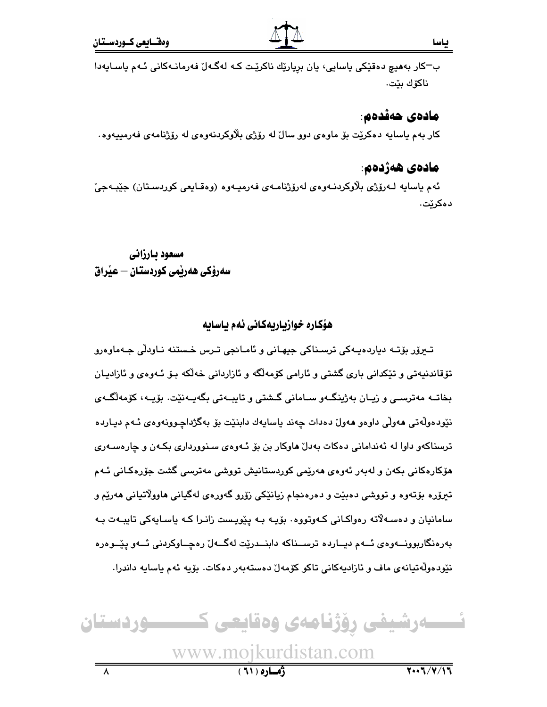ب־كار بەھيچ دەقێكى ياسايى، يان بريارێك ناكرێت كە لەگەل فەرمانـەكانى ئـەم ياسـايەدا ناكۆك بێت.

## مادەى ھەقدەم:

ياسا

کار بهم ياسايه دهکريت بۆ ماوهى دوو سالٌ له رۆژى بلاوکردنهوهى له رۆژنامەي فەرمىيەوه .

## مادەي ھەژدەم:

ئەم ياسايە لـەرۆژى بلاوكردنـەوەي لەرۆژنامـەي فەرميـەوە (وەقـايعى كوردسـتان) جێبـەجىٚ دەكرێت.

مسعود بارزاني سەرۆكى ھەرتمى كوردستان – عنراق

### هۆكاره خوازياريەكانى ئەم ياسايە

تيرۆر بۆتـﻪ دياردەيـﻪكى ترسـناكى جيھـانى و ئامـانجى تـرس خـستنه نـاودلّى جـﻪماوەرو تۆقاندنيەتى و تێکدانى بارى گشتى و ئارامى كۆمەلگە و ئازاردانى خەلكە بىۆ ئـەوەي و ئازاديـان بخاتــه مەترســى و زيــان بەژينگــەو ســامانى گــشتى و تايبــەتى بگەيــەنێت. بۆيــە، كۆمەلگــەي نٽودهولُهتي ههولُي داوهو ههولُ دهدات ڇهند پاسايهك دابنٽت بِوْ بهگژداچـوونهوهي ئـهم ديـارده ترسناکهو داوا له ئەندامانی دەکات بەدلٌ ھاوکار بن بۆ ئـەوەي سـنوورداری بکـەن و چارەسـەری مۆکارەکانى بکەن و لەبەر ئەوەي ھەرێمى کوردستانیش تووشى مەترسى گشت جۆرەکـانى ئـﻪم تيرۆره بۆتەوه و تووشي دەبێت و دەرەنجام زيانێکي زۆرو گەورەي لەگيانى ھاوولاتيانى ھەرێم و سامانیان و دهسهلاته رهواکانی کهوتووه. بۆیه بـه ییویست زانـرا کـه یاسـایهکی تایبـهت بـه بەرەنگاربوونـــەوەي ئـــەم ديـــاردە ترســـناكە دابنـــدرێت لەگـــەلّ رەچـــاوكردنى ئـــەو يێــوەرە نێودەوڵەتيانەي ماف و ئازاديەكانى تاكو كۆمەل دەستەبەر دەكات. بۆيە ئەم ياسايە داندرا.

ےرشیفی روژنامەی وەقايعی كــــــوردستان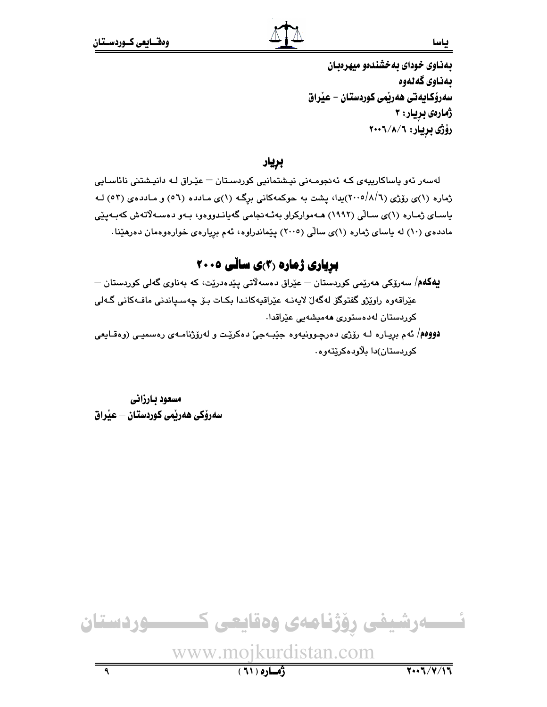بهذاوى خوداى به خشندهو ميهرهبان بەناوي گەنەوە سەرۆكايەتى ھەريمى كوردستان – عيراق ژمارەي بريار: ۳ رۆژى بريار: ٢٠٠٦/٨/٦

بريار

لەسەر ئەو ياساكارىيەى كـە ئەنجومـەنى نيـشتمانيى كوردسـتان – عێـراق لـە دانيـشتنى نائاسـايى ژماره (۱)ی رۆژی (۲۰۰۵/۸/٦)یدا، یشت به حوکمهکانی برگـه (۱)ی مـادده (٥٦) و مـاددهی (٥٣) لـه یاسـای ژمـاره (۱)ی سـالّی (۱۹۹۲) هــهموارکراو بهئـهنجامی گهیانـدووهو، بـهو دهسـهلاّتهش کهبـهپێی مادده ی(۱۰) له پاسای ژماره (۱)ی سالی (۲۰۰۵) پیماندراوه، ئهم بریارهی خوارهوهمان دهرهیدا.

## **بریاری ژماره (۳)ی سانّی ۲۰۰۵**

- $-$ **يەكەم**/ سەرۆكى ھەرێمى كوردستان عێراق دەسەلاتى پێدەدرێت، كە بەناوى گەلى كوردستان عێراقەوە راوێژو گفتوگۆ لەگەلٌ لايەنــه عێراقيەكانـدا بكـات بـۆ چەسـياندنى مافــەكانى گــەلى کوردستان لەدەستورى ھەمىشەيى عێراقدا.
- **دووهم**/ ئهم بريـاره لـه رۆژى دەرچـوونيەوه جێبـهجيّ دەكرێت و لەرۆژنامـهى رەسميـى (وەقـايعى کوردستان)دا بلاودهکریتهوه٠

مسعود بارزاني سەرۆكى ھەرپمى كوردستان – عيراق

 $\overline{\mathbf{a}}$ 

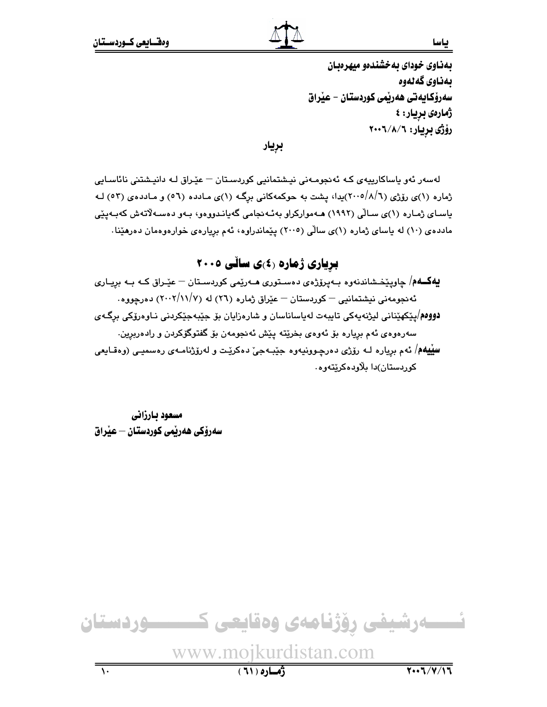بهناوی خودای به خشندهو میهرهبان بەناوي گەنەوە سەرۆكايەتى ھەريمى كوردستان – عيراق ژمارەي بريار: ٤ رۆژى بريار: ٢٠٠٦/٨/٦

بريار

لەسەر ئەو ياساكارييەي كـە ئەنجومـەنى نيـشتمانيى كوردسـتان – عێـراق لـە دانيـشتنى نائاسـايى ژماره (۱)ی رۆژی (۲۰۰۵/۸/٦)یدا، پشت به حوکمهکانی برگـه (۱)ی مـادده (٥٦) و مـاددهی (٥٣) لـه باسـای ژمـاره (۱)ی سـالّی (۱۹۹۲) هــهموارکراو بهئـهنجامی گهبانـدووهو، بـهو دهسـهلاتهش کهبـهییّی مادده ی (۱۰) له باسای ژماره (۱)ی سالی (۲۰۰۵) بییماندراوه، ئهم بریارهی خوارهوهمان دهرهینا.

## **بریاری ژماره (٤)ی سائی ٢٠٠٥**

**یهکــهم**/ چاوپێخـشاندنهوه بـهپرۆژهى دهسـتورى هــهرێمى کوردسـتان – عێـراق کــه بــه برِيــارى ئه نجومه نی نیشتمانیی – کوردستان – عیّراق ژماره (٢٦) له (١/١١/٧) ده رجووه. <mark>دووەم</mark>/يێکهێناني ليژنەپەکى تايبەت لەياساناسان و شارەزايان بۆ جێبەجێکردنى نـاوەرۆکى برگـەي سەرەوەي ئەم بريارە بۆ ئەوەي بخرێتە يێش ئەنجومەن بۆ گفتوگۆكردن و رادەربرين. **سيّيهه**/ ئهم برياره لـه رۆژي دەرچـوونيەوە جێبـهجيٚ دەكرێت و لەرۆژنامـەي رەسميـي (وەقـايعى کوردستان)دا پلاودهکرېټووه٠

مسعود بارزانى سەرۆكى ھەرپمى كوردستان — عيراق

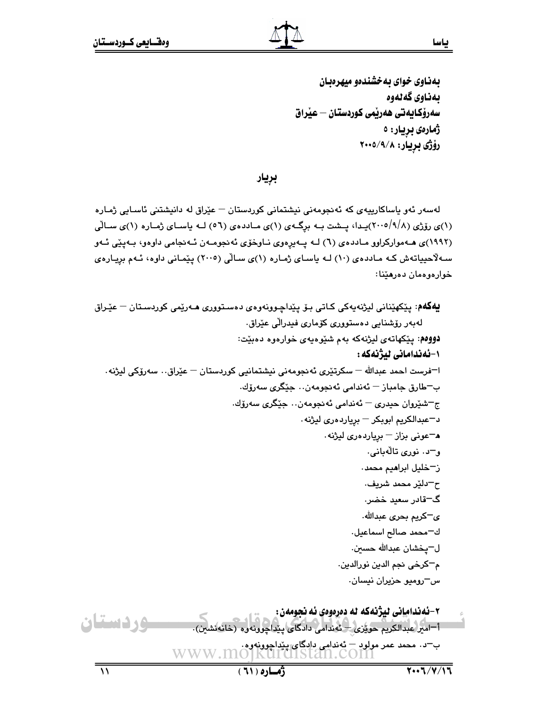بهناوی خوای به خشندهو میهرهبان بەناوي گەلەوە سەرۆكـايەتى ھەرتمى كوردستـان — عيراق ژمارەي بريار: ە رۆژى بريار: ۲۰۰۵/۹/۸

بريار

لەسەر ئەو ياساكارييەي كە ئەنجومەنى نيشتمانى كوردستان – عێراق لە دانيشتنى ئاسـايى ژمـارە (۱)ی رۆژی (۲۰۰۵/۹/۸)پیدا، پیشت بیه برگیهی (۱)ی میاددهی (۵٦) لیه پاسیای ژمیاره (۱)ی سیالی (١٩٩٢)ی هـ٥موارکراوو مـاددهی (٦) لـه پـهیرِهوی نـاوخوّی ئهنجومـهن ئـهنجامی داوهو، بـهپیّی ئـهو سـهلاٌحییاتهش کـه مـاددهی (۱۰) لـه یاسـای ژمـاره (۱)ی سـالّی (۲۰۰۵) پێمـانی داوه، ئـهم برِیـارهی خوارەوەمان دەرھێنا:

**يهگهم**: پێکهێنانی لیژنهپهکی کـاتی بـۆ پێداچـوونهوهی دهسـتووری هـﻪرێمی کوردسـتان — عێـراق لەبەر رۆشنايى دەستوورى كۆمارى فېدرالى عێراق. دووهم: پێکهاتهی لیژنهکه بهم شێوهیهی خوارهوه دهبێت: ۱-ئەندامانى لىژنەكە : ا¬فرست احمد عبدالله — سکرتێري ئەنجومەنى نيشتمانيي کوردستان — عێراق٠٠ سەرۆکى ليژنه٠ ب־طارق جامباز – ئەندامى ئەنجومەن… جێگرى سەرۆك. ج=شٽروان حيدري = ئەندامى ئەنجومەن٠٠ جێگرى سەرۆك٠ د-عبدالكريم ابوبكر – بريارد درى ليژنه. ه-عونی بزاز – بریاردهری لیژنه. و–د. نورې تالهبانې. ن-خليل ابراهيم محمد. ح–دلێر محمد شريف. گ−قادر سعید خضر∙ ى−كريم بحرى عبدالله. ك-محمد صالح اسماعيل. ل–پخشان عبدالله حسين. م<sup>ـــ</sup>كرخى نجم الدين نورالدين.  $-$ س $-$ روميو حزيران نيسان ۲–ئەندامانى ليژنەكە لە دەرەوەي ئە نجومەن : وردستان أ–امير عبدالكريم حويزى – ئەندامى دادگاى ينداجوونەوە (خانەنش ' 'سيت-- 'سياسية المستادية المستادية بالمستادية المستادية بالمستادية المستادية المستادية المستادية المستادية ا<br>ب-د. محمد عمر مولود – كه لمستادية المستادية المستادية المستادية W W W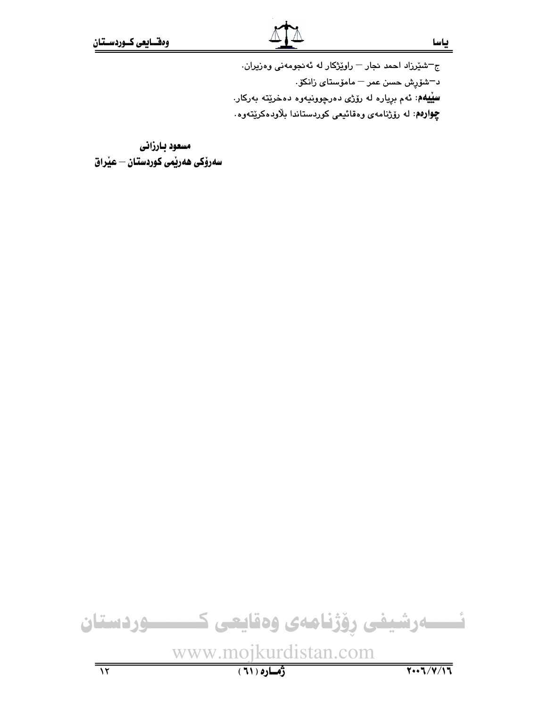ج–شێرزاد احمد نجار – راوێژکار له ئهنجومهنی وهزیران. د<sup>—</sup>شۆرش حسن عمر <sup>—</sup> مامۆس<mark>تا*ی* زانک</mark>ۆ **سيّيهم**: ئهم برياره له رۆژى دەرچوونيەوه دەخرێتە بەركار. **چِوارەم**: لە رۆژنامەي وەقائىيمى كوردستاندا بلاودەكرێتەوە.

مسعود بارزانى سەرۆكى ھەريمى كوردستان – عيراق

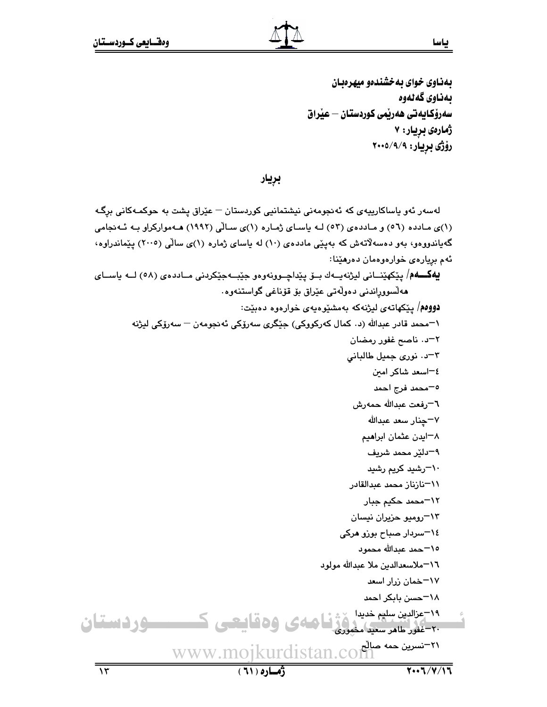بهذاوى خواى به خشندهو ميهرهبان ىمناوى گەنەوە سەرۆكايەتى ھەرتمى كوردستان – عٽراق ژمارەي بريار: ۷ رۆژى بريار: ٢٠٠٥/٩/٩

بريار

لەسەر ئەو ياساكارىيەى كە ئەنجومەنى نيشتمانيى كوردستان – عێراق پشت بە حوكمـەكانى برگـە (۱)ی مادده (٥٦) و ماددهی (٥٣) لـه باسای ژماره (۱)ی سالّی (١٩٩٢) هـهموارکراو بـه ئـه نجامی گهپاندووهو، بهو دهسهلاتهش که بهیێی ماددهی (۱۰) له پاسای ژماره (۱)ی سالی (۲۰۰۵) یێماندراوه، ئهم بريارەي خوارەوەمان دەرھێنا: **يهکـــهم**/ يێکهێنــاني ليژنهيــهك بــۆ يێداچــوونهوهو جێبــهجێکردني مــاددهى (٥٨) لـــه ياســاى ھەلسووراندنى دەولەتى عێراق بۆ قۆناغى گواستنەوە. دووهم/ پێکهاتهی لپژنهکه بهمشێوهپهی خوارهوه دهبێت: ۱–محمد قادر عبدالله (د. کمال کەرکووکی) جێگری سەرۆکی ئەنجومەن – سەرۆکی لیژنه ٢–د. ناصح غفور رمضان ٣-د. نوری جمیل طالبانی ٤–اسعد شاكر امين ٥–محمد فرج احمد ٦–رفعت عبدالله حمەرش ۷−چنار سعد عبدالله ۸–ایدن عثمان ابراهیم ٩–دلێر محمد شريف ∙۱−رشید کریم رشی*د* 11–نازناز محمد عبدالقادر ١٢-محمد حكيم جبار ۱۳–رومیو حزیران نیسان ٠٤–سردار صباح بوزو هرکی ١٥–حمد عبدالله محمود ١٦-ملاسعدالدين ملا عبدالله مولود ۱۷–خمان زرار اسعد ١٨-حسن بابكر احمد ۱۹-مزادین سلیم خدیدا در زن<mark>ا های و ه قاییحی کسیست و رف است</mark>ان www.mojkurdistan.com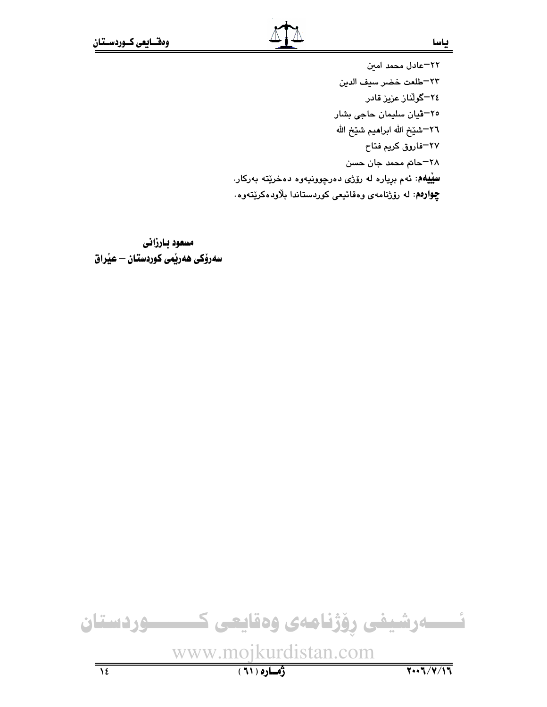بياسا

٢٢-عادل محمد امين ٢٣–طلعت خضر سيف الدين ۲٤–گوڵناز عزیز قادر <mark>۲</mark>۰ شیان سلیمان حاجی بشار ٢٦–شيّخ الله ابراهيم شيّخ الله ٢٧–فاروق كريم فتاح ٢٨–حاتم محمد جان حسن **سيّيهم**: ئهم بږياره له رۆژى دەرچوونيەوە دەخرێتە بەركار. **چوارهم**: له رۆژنامهى وەقائىعى كوردستاندا بلاودەكريتەوە.

مسعود بارزاني سەرۆكى ھەرپمى كوردستان – عيْراق

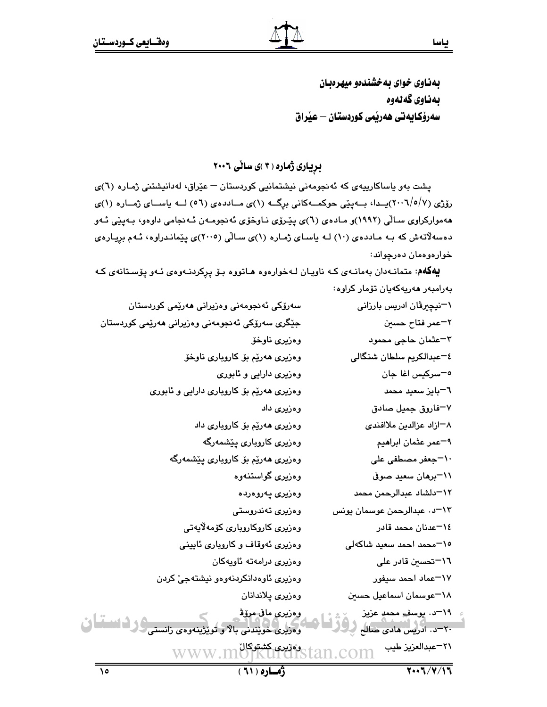بهناوي خواي به خشندهو ميهرهدان بەناوي گەنەوە سەرۆكايەتى ھەرپمى كوردستان — عيراق

بریباری ژماره (۳)ی سالی ۲۰۰۶

یشت بهو یاساکارییهی که ئه نجومهنی نیشتمانیی کوردستان – عیّراق، لهدانیشتنی ژمـاره (٦)ی رۆژى (٢٠٠٦/٥/٧)پــدا، بـــەپێى حوكمـــەكانى برگـــه (١)ى مــاددەي (٥٦) لـــه ياســـاى ژمــاره (١)ى ههموارکراوی سالّی (۱۹۹۲)و مادهی (٦)ی پیّرۆی ناوخوّی ئهنجومهن ئـهنجامی داوهو، بـهییّی ئـهو دهسهلآتهش که بـه مـاددهى (۱۰) لـه یاسـاى ژمـاره (۱)ى سـالّى (۲۰۰۵)ى پێمانـدراوه، ئـهم برِيـارهى خوارەوەمان دەرچواند:

یهکهم: متمانهدان بهمانهی که ناویان لهخوارهوه هاتووه بو پرکردنهوهی ئهو پوستانهی که بەرامبەر ھەرپەكەيان تۆمار كراوە: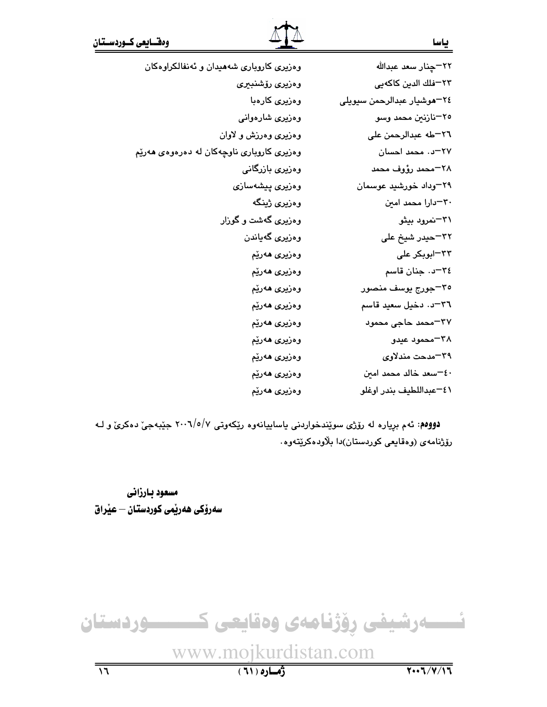| وهزیری کاروباری شههیدان و ئهنفالکراوهکان  | ٢٢–چنار سعد عبدالله        |
|-------------------------------------------|----------------------------|
| وەزىرى رۆشنبېرى                           | ٢٣–فلك الدين كاكهيي        |
| وەزير <i>ى</i> كارەبا                     | ٢٤–هوشيار عبدالرحمن سيويلي |
| وەزىرى شارەوانى                           | ٢٥–نازنين محمد وسو         |
| وهزیری وهرزش و لاوان                      | ٢٦–طه عبدالرحمن على        |
| وهزیری کاروباری ناوچهکان له دهرهوهی ههرێم | ٢٧-د. محمد احسان           |
| وەزيرى بازرگانى                           | ٢٨–محمد رؤوف محمد          |
| وەزىرى پىشەسازى                           | ۲۹–وداد خورشید عوسمان      |
| وەزير <i>ى</i> ژينگە                      | ٣٠-دارا محمد امين          |
| وهزیری گهشت و گوزار                       | ۳۱–نمرود بیثو              |
| وەزيرى گەياندن                            | ۳۲–حیدر شیخ علی            |
| وەزير <i>ى ھ</i> ەرێم                     | ۳۳−ابوبکر علی              |
| وەزير <i>ى ھ</i> ەرێم                     | ٣٤-د. جنان قاسم            |
| وەزيرى ھەرێم                              | ٣٥–جورج يوسف منصور         |
| وەزيرى ھەرێم                              | ٣٦-د. دخيل سعيد قاسم       |
| وەزيرى ھەرێم                              | ٣٧–محمد حاجي محمود         |
| وەزيرى ھەرێم                              | ۳۸–محمود عیدو              |
| وەزيرى ھەرێم                              | ٣٩–مدحت مندلاوي            |
| وەزيرى ھەرێم                              | ٤٠-سعد خالد محمد امين      |
| وەزيرى ھەرێم                              | ٤١-عبداللطيف بندر اوغلو    |

دوومم: ئهم بریاره له رۆژی سوێندخواردنی یاساییانهوه رێکهوتی ۲۰۰۹/٥/۷ جێبهجیّ دهکریّ و لـه رۆژنامەي (وەقايعى كوردستان)دا بلاودەكريتەوە.

مسعود بارزاني سەرۆكى ھەرپمى كوردستان – عيراق

# ئىسسەرشيفى رۆژنامەى وەقايعى كىسسىردىستان

www.mojkurdistan.com

ياسا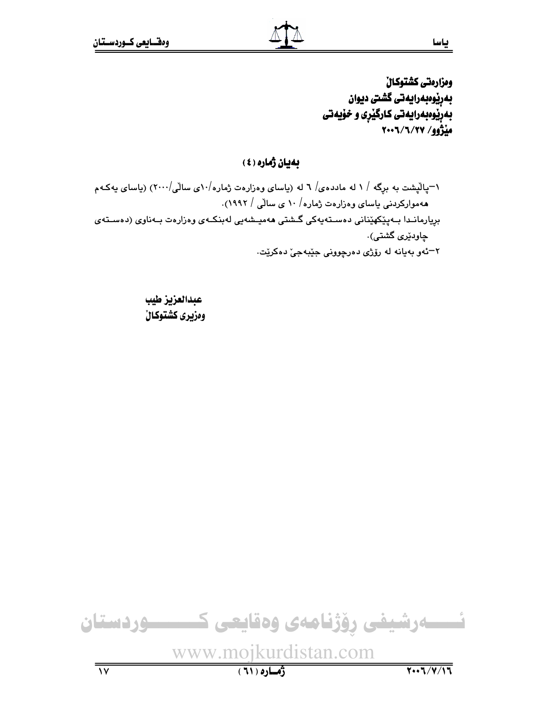ومزارمتي كشتوكال بەرێوەبەرايەتى گشتى ديوان بهریوهبهرایهتی کارگیری و خویهتی مَنْژُوو/ ۲۰۰۲/۲۰۰۷

## بهيان ژماره (٤)

۱–پالیشت به برگه / ۱ له مادده $/$  ۲ له (پاسای وهزارهت ژماره $\cdot/\cdot$ ی سالی $\cdot/\cdot$ ۲) (پاسای پهکـهم هه موارکردنی یاسای وهزارهت ژماره/ ۱۰ ی سالّی / ۱۹۹۲). بريارمانىدا بىەيێكەێنانى دەسىتەپەكى گىشتى ھەمپىشەيى لەبنكىەي وەزارەت بىەناوى (دەسىتەي چاودێ*ری* گشتی). ۲–ئەو بەيانە لە رۆژى دەرچوونى جێبەجىٚ دەكرێت.

> عبدالعزيز طيب ومزيري كشتوكال



www.mojkurdistan.com

 $(71)$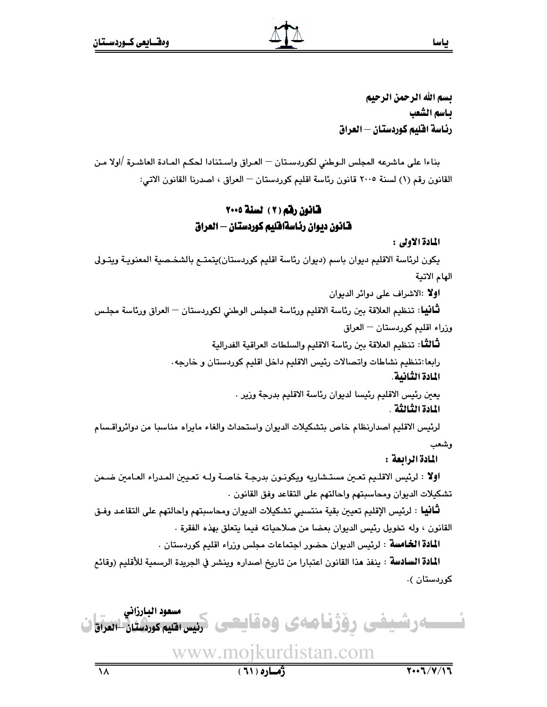بسم الله الرحمن الرحيم باسم الشعب رئاسة اقليم كوردستان — العراق

بناءا على ماشرعه المجلس الـوطني لكوردسـتان — العـراق واسـتنادا لحكـم المـادة العاشـرة /اولا مـن القانون رقم (١) لسنة ٢٠٠٥ قانون رئاسة اقليم كوردستان — العراق ، اصدرنا القانون الاتي:

## قانون رقم (٢) لسنة ٢٠٠٥ قانون ديوان رئاسةاقليم كوردستان — العراق

المادة الأولى :

يكون لرئاسة الاقليم ديوان باسم (ديوان رئاسة اقليم كوردستان)يتمتـع بالشخـصية المعنويـة ويتـولى الهام الاتية

اولا :الاشراف على دوائر الديوان

**ثـَّانيبا**: تنظيم العلاقة بين رئاسة الاقليم ورئاسة المجلس الوطنى لكوردستان — العراق ورئاسة مجلـس

وزراء اقليم كوردستان – العراق

لْتَلَالْتَـا: تنظيم العلاقة بين رئاسة الاقليم والسلطات العراقية الفدرالية

رابعا:تنظيم نشاطات واتصالات رئيس الاقليم داخل اقليم كوردستان و خارجه.

المادة الثانية.

يعين رئيس الاقليم رئيسا لديوان رئاسة الاقليم بدرجة وزير . المادة الثّالثّة .

لرئيس الاقليم اصدارنظام خاص بتشكيلات الديوان واستحداث والغاء مايراه مناسبا من دوائرواقسام

وشعب

المادة الرائعة :

اولا : لرئيس الاقلـيم تعـين مستـشاريه ويكونـون بدرجـة خاصـة ولـه تعـيين المـدراء العـامين ضـمن تشكيلات الديوان ومحاسبتهم واحالتهم على التقاعد وفق القانون .

**ثَّانيا** : لرئيس الإقليم تعيين بقية منتسيي تشكيلات الديوان ومحاسبتهم واحالتهم على التقاعد وفـق القانون ، وله تخويل رئيس الديوان بعضا من صلاحياته فيما يتعلق بهذه الفقرة .

ا**لمادة الخامسة** : لرئيس الديوان حضور اجتماعات مجلس وزراء اقليم كوردستان .

ا**لمادة السادسة** : ينفذ هذا القانون اعتبارا من تاريخ اصداره وينشر في الجريدة الرسمية للأقليم (وقائع کوردستان ).

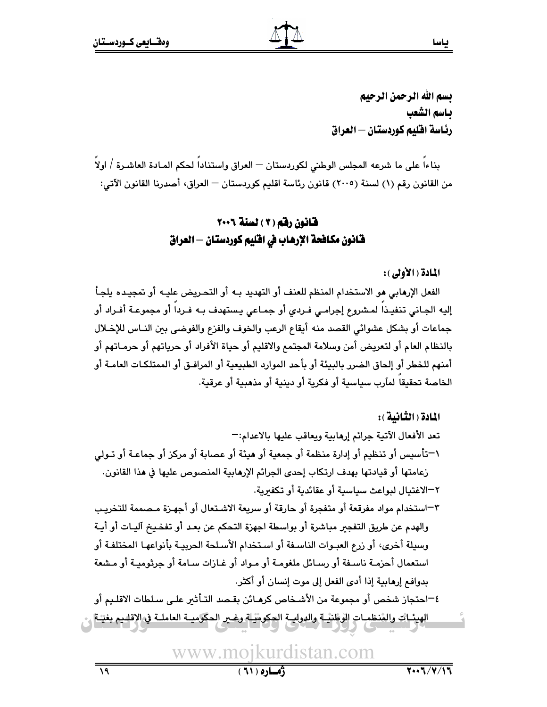بسم الله الرحمن الرحيم بـاسم الشعب رئاسة اقليم كوردستان – العراق

بناءاً على ما شرعه المجلس الوطني لكوردستان — العراق واستناداً لحكم المـادة العاشـرة / اولاً من القانون رقم (١) لسنة (٢٠٠٥) قانون رئاسة اقليم كوردستان — العراق، أصدرنا القانون الآتي:

## قانون رقم (٢) لسنة ٢٠٠٦ فـّانون مكافحة الإرهاب في افليم كوردستان — العراق

#### المادة ( الأولى ):

الفعل الإرهابي هو الاستخدام المنظم للعنف أو التهديد بـه أو التحريض عليـه أو تمجيـده يلجـأ إليه الجـاني تنفيـذاً لمـشروع إجرامـي فـردي أو جمـاعى يـستهدف بـه فـرداً أو مجموعـة أفـراد أو جماعات أو بشكل عشوائي القصد منه أيقاع الرعب والخوف والفزع والفوضي بين النـاس للإخـلال بالنظام العام أو لتعريض أمن وسلامة المجتمع والاقليم أو حياة الأفراد أو حرياتهم أو حرمـاتهم أو أمنهم للخطر أو إلحاق الضرر بالبيئة أو بأحد الموارد الطبيعية أو المرافـق أو الممتلكـات العامـة أو الخاصة تحقيقاً لمارب سياسية أو فكرية أو دينية أو مذهبية أو عرقية.

المادة ( الثّانية ): تعد الأفعال الآتية جرائم إرهابية ويعاقب عليها بالاعدام:-١-تأسيس أو تنظيم أو إدارة منظمة أو جمعية أو هيئة أو عصابة أو مركز أو جماعـة أو تـولى زعامتها أو قيادتها بهدف ارتكاب إحدى الجرائم الإرهابية المنصوص عليها في هذا القانون. ٢–الاغتيال لبواعث سياسية أو عقائدية أو تكفىرية. ٣–استخدام مواد مفرقعة أو متفجرة أو حارقة أو سريعة الاشتعال أو أجهـزة مـصممة للتخريـب والهدم عن طريق التفجير مباشرة أو بواسطة اجهزة التحكم عن بعد أو تفخيخ آليـات أو أيـة وسيلة أخرى، أو زرع العبـوات الناسـفة أو اسـتخدام الأسـلحة الحربيـة بأنواعهـا المختلفـة أو استعمال أحزمـة ناسـفة أو رسـائل ملغومـة أو مـواد أو غـازات سـامة أو حرثوميـة أو مـشعة .<br>بدوافع إرهابية إذا أدى الفعل إلى موت إنسان أو أكثر. ٤–احتجاز شخص أو مجموعة من الأشخاص كرهـائن بقـصد التـأثير علـى سـلطات الاقلـيم أو الهيئــات والمُنظمــات الوظنيــة والدوليــة الحكوميــة وغــر الحكوميــة العاملــة في الإقلــيم بغيــة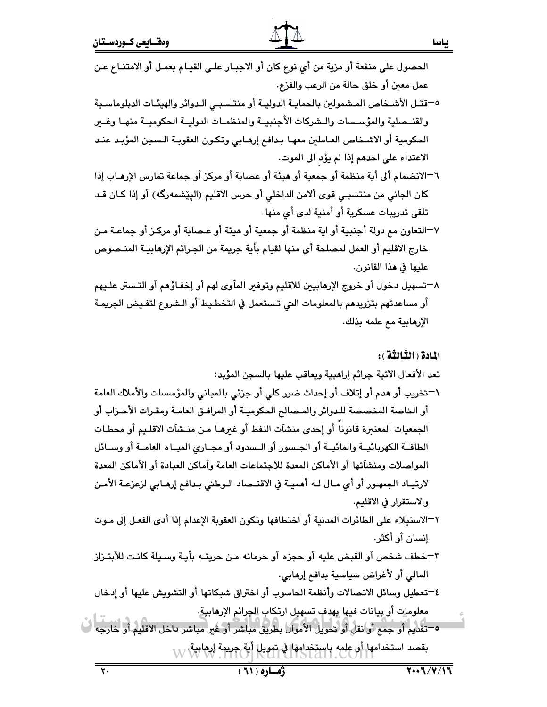## الحصول على منفعة أو مزية من أي نوع كان أو الاجبـار علـى القيـام بعمـل أو الامتنـاع عـن عمل معين أو خلق حالة من الرعب والفزع. 0–قتـل الأشـخاص المـشمولين بالحمايـة الدوليـة أو منتـسبـى الـدوائر والهيئـات الدبلوماسـية والقنـصلية والمؤسـسات والـشركات الأجنبيــة والمنظمـات الدوليــة الحكوميــة منهـا وغــر الحكومية أو الاشخاص العـاملين معهـا بـدافـع إرهـابي وتكـون العقوبـة الـسجن المؤبـد عنـد الاعتداء على احدهم إذا لم يؤد الى الموت. ٦–الانضمام ألى أية منظمة أو جمعية أو هيئة أو عصابة أو مركز أو جماعة تمارس الإرهـاب إذا كان الجاني من منتسبـي قوى ألامن الداخلي أو حرس الاقليم (اليێشمهرگه) أو إذا كـان قـد تلقى تدريبات عسكرية أو أمنية لدى أي منها. ٧–التعاون مم دولة أجنبية أو اية منظمة أو جمعية أو هيئة أو عـصابة أو مركـز أو جماعـة مـن خارج الاقليم أو العمل لمصلحة أي منها لقيام بأية جريمة من الجـرائم الإرهابيــة المنــصوص عليها في هذا القانون. ٨–تسهيل دخول أو خروج الإرهابيين للاقليم وتوفير المأوى لهم أو إخفـاؤهم أو التـستر علـيهم أو مساعدتهم بتزويدهم بالمعلومات التي تـستعمل في التخطـيط أو الـشروع لتفـيض الجريمـة الإرهابية مع علمه بذلك. المادة ( الثَّمالثَّة ) : تعد الأفعال الآتية جرائم إراهبية ويعاقب عليها بالسجن المؤبد: ١–تخريب أو هدم أو إتلاف أو إحداث ضرر كلي أو جزئي بالمباني والمؤسسات والأملاك العامة أو الخاصة المخصصة للـدوائر والمـصالح الحكوميـة أو المرافـق العامـة ومقـرات الأحـزاب أو الجمعيات المعتبرة قانوناً أو إحدى منشآت النفط أو غبرهـا مـن منـشاَت الاقلـيم أو محطـات الطاقــة الكهربائيــة والمائيــة أو الجـسور أو الـسدود أو مجـارى الميــاء العامــة أو وســائل المواصلات ومنشآتها أو الأماكن المعدة للاجتماعات العامة وأماكن العبادة أو الأماكن المعدة

لارتيـاد الجمهـور أو أي مـال لـه أهميـة في الاقتــصاد الـوطني بـدافـع إرهـابي لزعزعـة الأمـن والاستقرار في الاقليم.

- ٢–الاستيلاء على الطائرات المدنية أو اختطافها وتكون العقوبة الإعدام إذا أدى الفعل إلى مـوت إنسان أو أكثر.
- ٣–خطف شخص أو القبض عليه أو حجزه أو حرمانه مـن حريتـه بأيـة وسـيلة كانـت للأبتـزاز المالي أو لأغراض سياسية بدافع إرهابي.

٤–تعطيل وسائل الاتصالات وأنظمة الحاسوب أو اختراق شبكاتها أو التشويش عليها أو إدخال معلومات أو بيانات فيها بهدف تسهيل ارتكاب الجرائم الإرهابية.

٥–تقديم أو جمع أو نقل أو تحويل الأموال بطريق مباشر أو غبر مباشر داخل الاقليم أو خارجه بقصد استخدامها أو عِلمِه باستِخدامهَا في تمويل أية جريمة إرهابية.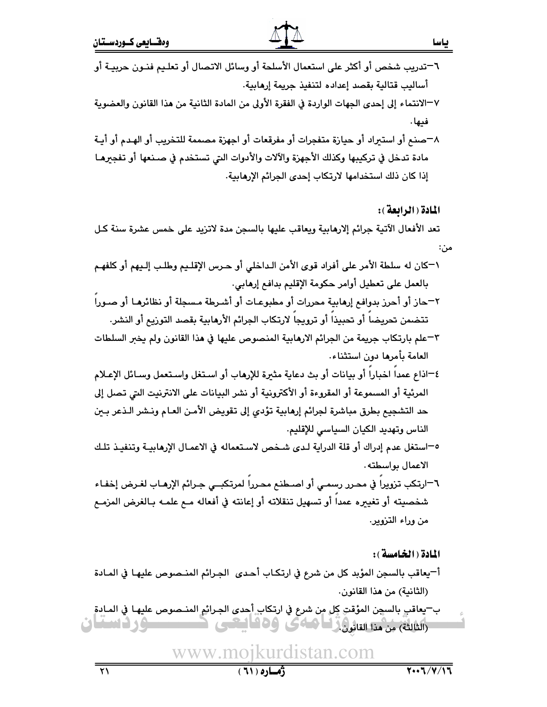- ٦–تدريب شخص أو أكثر على استعمال الأسلحة أو وسائل الاتصال أو تعليم فنـون حربيـة أو أساليب قتالية بقصد إعداده لتنفيذ جريمة إرهابية. ٧–الانتماء إلى إحدى الجهات الواردة في الفقرة الأولى من المادة الثانية من هذا القانون والعضوية
- فيها .
- ٨–صنع أو استبراد أو حيازة متفجرات أو مفرقعات أو اجهزة مصممة للتخريب أو الهدم أو أيـة مادة تدخل في تركيبها وكذلك الأجهزة والآلات والأدوات التي تستخدم في صـنعها أو تفجرهـا إذا كان ذلك استخدامها لارتكاب إحدى الجرائم الإرهابية.

#### المادة ( الرائعة ):

تعد الأفعال الآتية جرائم إلارهابية ويعاقب عليها بالسجن مدة لاتزيد على خمس عشرة سنة كل مر'،:

- ١-كان له سلطة الأمر على أفراد قوى الأمن الـداخلي أو حـرس الإقلـيم وطلـب إلـيهم أو كلفهـم بالعمل على تعطيل أوامر حكومة الإقليم بدافع إرهابي.
- ٢–حاز أو أحرز بدوافم إرهابية محررات أو مطبوعـات أو أشـرطة مـسجلة أو نظائرهـا أو صـورا تتضمن تحريضاً أو تحبيذاً أو ترويجاً لارتكاب الجرائم الأرمابية بقصد التوريم أو النشر.
- ٣–علم بارتكاب جريمة من الجرائم الارهابية المنصوص عليها في هذا القانون ولم يخبر السلطات العامة بأمرها دون استثناء،
- ٤-اذاع عمدا اخبارا أو بيانات أو بث دعاية مثيرة للإرهاب أو استغل واستعمل وسائل الإعلام المرئية أو المسموعة أو المقروءة أو الأكترونية أو نشر البيانات على الانترنيت التي تصل إلى حد التشجيع بطرق مباشرة لجرائم إرهابية تؤدي إلى تقويض الأمـن العـام ونـشر الـذعر بـين الناس وتهديد الكيان السياسي للإقليم.
- ٥–استغل عدم إدراك أو قلة الدراية لـدى شـخص لاسـتعماله في الاعمـال الإرهابيـة وتنفيـذ تلـك الاعمال بواسطته.
- ٦–ارتكب تزويرا في محرر رسمي أو اصـطنـم محـررا لمرتكبــي جـرائم الإرهـاب لغـرض إخفـاء شخصيته أو تغييره عمداً أو تسهيل تنقلاته أو إعانته في أفعاله مـع علمـه بـالغرض المزمـع من وراء التزوير.

#### المادة ( الخامسة ):

- أ-يعاقب بالسجن المؤبد كل من شرع في ارتكاب أحدى الجرائم المنصوص عليها في المادة (الثانية) من هذا القانون.
- ب—يعاقب بالسجن المؤقتِ كِل مِن شرع في ارتكاب أحدى الجرائم المنـصوص عليهـا في المـادةِ (الثالثة) مِن هذا القانون في العامى -16 أساران  $\blacksquare$  and  $\blacksquare$ -1908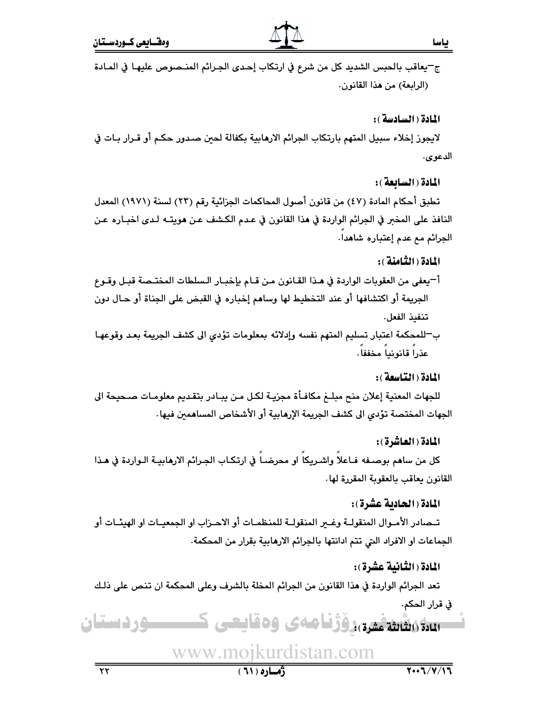ج–يعاقب بالحبس الشديد كل من شرع في ارتكاب إحدى الجرائم المنـصوص عليهـا في المـادة (الرابعة) من هذا القانون.

المادة ( السادسة ):

لايجوز إخلاء سبيل المتهم بارتكاب الجرائم الارهابية بكفالة لحين صدور حكم أو قـرار بـات في الدعوى.

المادة ( السائعة ):

تطبق أحكام المادة (٤٧) من قانون أصول المحاكمات الجزائية رقم (٢٣) لسنة (١٩٧١) المعدل النافذ على المخبر في الجرائم الواردة في هذا القانون في عـدم الكـشف عـن هويتــه لـدى اخبــاره عـن الجرائم مع عدم إعتباره شاهدا.

#### المادة ( الثَّامنة ) :

- أ—يعفي من العقوبات الواردة في هـذا القـانون مـن قـام بإخبـار الـسلطات المختـصة قبـل وقـوع الجريمة أو اكتشافها أو عند التخطيط لها وساهم إخباره في القبض على الجناة أو حـال دون تنفيذ الفعل.
- ب—للمحكمة اعتبار تسليم المتهم نفسه وإدلائه بمعلومات تؤدي الى كشف الجريمة بعد وقوعهـا عذرا قانونيا مخففا.

#### المادة ( التياسعة ):

للجهات المعنية إعلان منح مبلـغ مكافـأة مجزيـة لكـل مـن يبـادر بتقـديم معلومـات صـحيحة الى الجهات المختصة تؤدي الى كشف الجريمة الإرهابية أو الأشخاص المساهمين فيها.

### المادة ( العاشرة ):

كل من ساهم بوصـفه فـاعلا واشـريكا او محرضـا في ارتكـاب الجـرائم الارهابيــة الـواردة في هـذا القانون يعاقب بالعقوبة المقررة لها.

## المادة ( الحادية عشرة ):

تــصادر الأمــوال المنقولــة وغــزر المنقولــة للمنظمــات أو الاحــزاب او الجمعيــات او الهيئــات أو الجماعات او الافراد التي تتم ادانتها بالجرائم الارهابية بقرار من المحكمة.

### المادة ( الثَّانية عشرة ):

تعد الجرائم الواردة في هذا القانون من الجرائم المخلة بالشرف وعلى المحكمة ان تنص على ذلـك في قرار الحكم.

## سلا(اشتهمیری)دوژنامه ی وهقایعی ک ــــوردستان

ڏهياره ( ٦١ )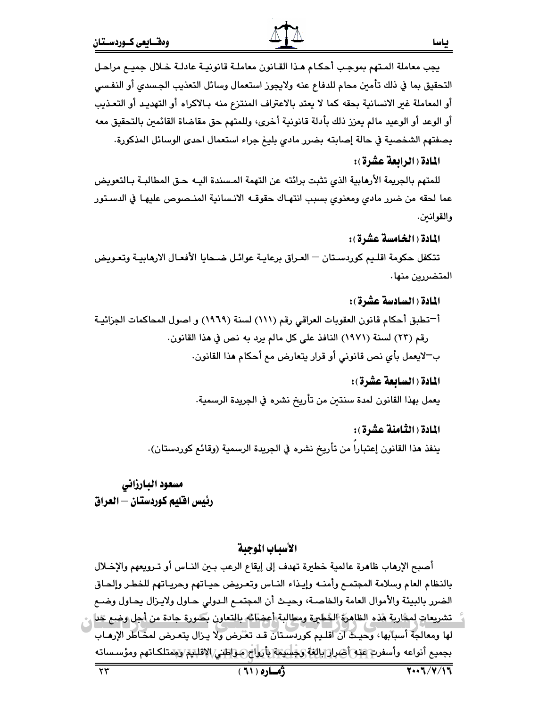#### المادة ( الرابعة عشرة ):

للمتهم بالجريمة الأرهابية الذي تثبت برائته عن التهمة المسندة اليـه حـق المطالبـة بـالتعويض عما لحقه من ضرر مادي ومعنوي بسبب انتهـاك حقوقــه الانـسانية المنـصوص عليهـا في الدسـتور والقوانىن.

المادة (الخامسة عشرة):

تتكفل حكومة اقليم كوردستان — العراق برعايـة عوائـل ضـحايا الأفعـال الارهابيـة وتعـويض المتضررين منها.

المادة ( السادسة عشرة): أ—تطبق أحكام قانون العقوبات العراقي رقم (١١١) لسنة (١٩٦٩) و اصول المحاكمات الجزائيـة رقم (٢٣) لسنة (١٩٧١) النافذ على كل مالم يرد به نص في هذا القانون. بِ لايعمل بأي نص قانوني أو قرار يتعارض مع أحكام هذا القانون.

> المادة ( السائعة عشرة ): يعمل بهذا القانون لمدة سنتين من تأريخ نشره في الجريدة الرسمية.

المادة ( الثَّامنة عشرة ) : ينفذ هذا القانون إعتبارا من تأريخ نشره في الجريدة الرسمية (وقائع كوردستان).

مسعود البارزانى رئيس افليم كوردستان — العراق

#### الأسياب الموجية

أصبح الإرهاب ظاهرة عالمية خطيرة تهدف إلى إيقاع الرعب بين النـاس أو تـرويعهم والإخـلال بالنظام العام وسلامة المجتمـع وأمنــه وإيـذاء النــاس وتعـريض حيـاتهم وحريـاتهم للخطـر وإلحـاق الضرر بالبيئة والأموال العامة والخاصـة، وحيـث أن المجتمـم الـدولي حـاول ولايـزال يحـاول وضـم تشريعات لمخاربة هذه الظاهرة الخطيرة ومطالبة أعضائه بالتعاون بصورة جادة من أجل وضع خدل لها ومعالجة أسبابها، وحيث أن أقلـيم كوردسـتان قـد تعـُرض ولا يـزال يتعـرض لمحـاطر الإرمـاب بجميع أنواعه وأسفرت عنه أضرار بالغة وجبليتية بأرواج مواطني الاقليتي ويمتلكاتهم ومؤسساته  $7.1$   $7.1$ ژماره ( ٦١ )  $\tau\tau$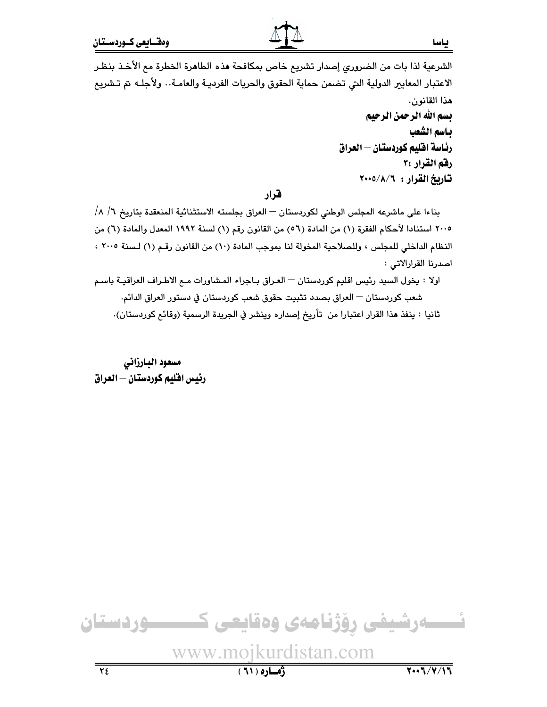الشرعية لذا بات من الضروري إصدار تشريع خاص بمكافحة هذه الطاهرة الخطرة مع الأخذ بنظر الاعتبار المعايير الدولية التي تضمن حماية الحقوق والحريات الفرديـة والعامـة.. ولأجلـه تم تـشريع هذا القانون. بسم الله الرحمن الرحيم ياسم الشعب رئاسة افليم كوردستان — العراق رفق القرار :۳ تاريخ القرار : ٢٠٠٥/٨/٦

#### قرار

بناءا على ماشرعه المجلس الوطني لكوردستان — العراق بجلسته الاستثنائية المنعقدة بتاريخ ٦/ ٨/ ٢٠٠٥ استنادا لأحكام الفقرة (١) من المادة (٥٦) من القانون رقم (١) لسنة ١٩٩٢ المعدل والمادة (٦) من النظام الداخلي للمجلس ، وللصلاحية المخولة لنا بموجب المادة (١٠) من القانون رقم (١) لسنة ٢٠٠٥ ، اصدرنا القرارالاتي :

اولا : يخول السيد رئيس اقليم كوردستان — العراق بـاجراء المشاورات مـع الاطـراف العراقيـة باسـم شعب كوردستان — العراق بصدد تثبيت حقوق شعب كوردستان في دستور العراق الدائم. ثانيا : ينفذ هذا القرار اعتبارا من تأريخ إصداره وينشر في الجريدة الرسمية (وقائع كوردستان).

مسعود البارزاني رئيس افليم كوردستان — العراق

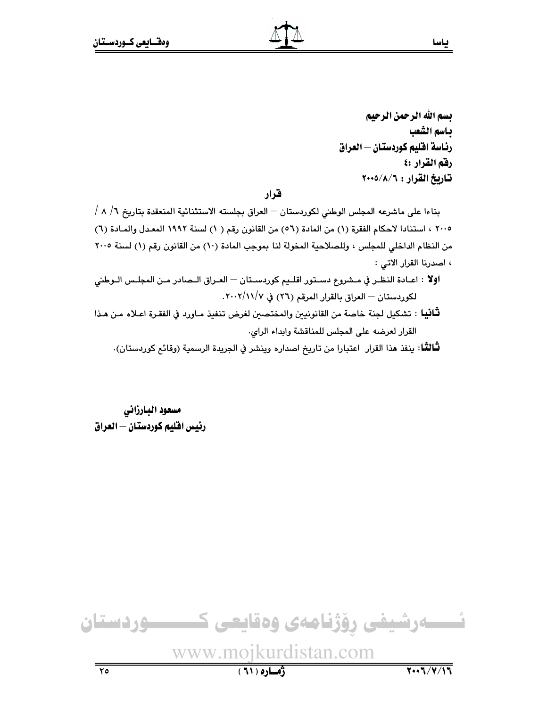بسم الله الرحمن الرحيم باسم الشعب رئاسة افليم كوردستان — العراق رفق القرار :٤ تاريخ القرار : ٢٠٠٥/٨/٦

#### قرار

بناءا على ماشرعه المجلس الوطني لكوردستان — العراق بجلسته الاستثنائية المنعقدة بتاريخ ٦/ ٨ / ٢٠٠٥ ، استنادا لاحكام الفقرة (١) من المادة (٥٦) من القانون رقم ( ١) لسنة ١٩٩٢ المعدل والمادة (٦) من النظام الداخلي للمجلس ، وللصلاحية المخولة لنا بموجب المادة (١٠) من القانون رقم (١) لسنة ٢٠٠٥ ، اصدرنا القرار الاتي :

- **اولا** : اعـادة النظـر في مـشروع دسـتور اقلـيم كوردسـتان العـراق الـصادر مـن المجلـس الـوطني لكوردستان - العراق بالقرار المرقم (٢٦) في ٢٠٠٢/١١/٧.
- **ثَـانيا** : تشكيل لجنة خاصة من القانونيين والمختصين لغرض تنفيذ مـاورد في الفقـرة اعـلاه مـن هـذا القرار لعرضه على المجلس للمناقشة وابداء الراي.

لثَّالثُّـا: ينفذ هذا القرار اعتبارا من تاريخ اصداره وينشر في الجريدة الرسمية (وقائع كوردستان).

مسعود البارزاني رئيس افليم كوردستان — العراق

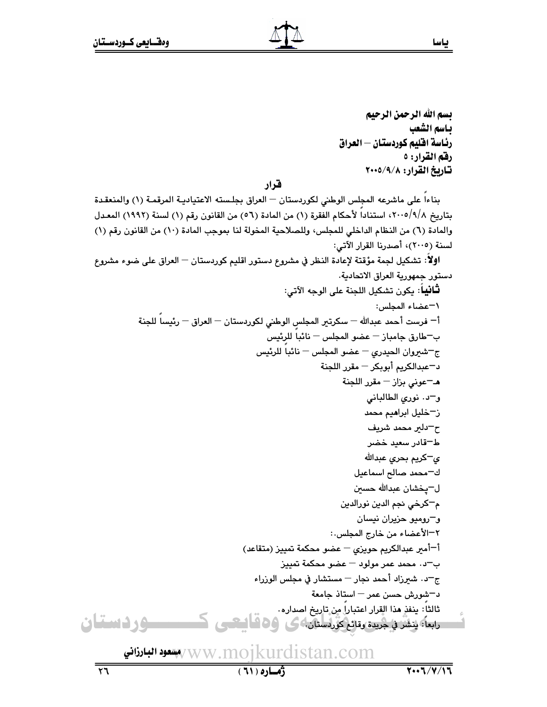يسم الله الرحمن الرحيم باسم الشعب رئاسة افليم كوردستان — العراق رقم القرار: ٥ تاريخ القرار: ٢٠٠٥/٩/٨

قرار

بناءاً على ماشرعه المجلس الوطني لكوردستان — العراق بجلسته الاعتياديـة المرقمـة (١) والمنعقـدة بتاريخ 1/8/0101، استناداً لأحكام الفقرة (١) من المادة (٥٦) من القانون رقم (١) لسنة (١٩٩٢) المعـدل والمادة (٦) من النظام الداخلي للمجلس، وللصلاحية المخولة لنا بموجب المادة (١٠) من القانون رقم (١) لسنة (٢٠٠٥)، أصدرنا القرار الآتي:

اولاً: تشكيل لجمة مؤقتة لإعادة النظر في مشروع دستور اقليم كوردستان — العراق على ضوء مشروع دستور جمهورية العراق الاتحادية.

www.mojkurdistan.com/پهنعود البيادذاني $\sqrt{\rm w}$  Ww

Ů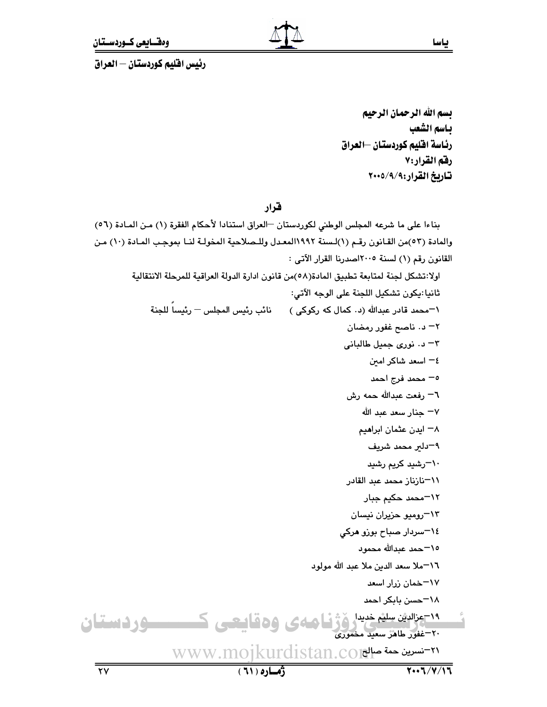رئيس افليم كوردستان – العراق

بسم الله الرحمان الرحيم باسم الشعب رئاسة اقليم كوردستان –العراق رقم القرار:٧ تاريخ القرار:٩/٩/٩٠٠٥

قرار

بناءا على ما شرعه المجلس الوطني لكوردستان –العراق استنادا لأحكام الفقرة (١) من المادة (٥٦) والمادة (٥٣)من القـانون رقـم (١)لـسنة ١٩٩٢المعـدل وللـصلاحية المخولـة لنـا بموجب المـادة (١٠) مـن القانون رقم (١) لسنة ٢٠٠٥اصدرنا القرار الآتى : اولا:تشكل لجنة لمتابعة تطبيق المادة(٥٨)من قانون ادارة الدولة العراقية للمرحلة الانتقالية ثانيا:يكون تشكيل اللجنة على الوجه الآتي: \'"محمد قادر عبدالله (د٠ كمال كه ركوكى ) نائب رئيس المجلس <sup>ـــ</sup> رئيساً للجنة ۲– د. ناصح غفور رمضان ٣- د. نوري جميل طالباني ٤– اسعد شاكر امىن ٥– محمد فرج احمد ٦– رفعت عبدالله حمه رش ∀− جنار سعد عبد الله ۸– ایدن عثمان ابرا**می**م ٩–دلير محمد شريف ۰<sup>۱</sup>–رشید کریم رشید 1\−نازناز محمد عبد القادر ١٢-محمد حكيم جبار ۱۳–رومیو حزیران نیسان ٠٤–سردار صباح بوزو هرکی 10–حمد عبدالله محمود ٠٦-ملا سعد الدين ملا عبد الله مولود ۱۷–خمان زرار اسعد ١٨-حسن بابكر احمد <sup>19</sup> عزالاش سلیم خدیدار ژنر فی همهای و ه قیالیکسی ک<del>سیست و</del> رفته استفاق<br>۲۰-غفور طاهر سعید مخموری www.mojkurdistan.co

بياسا

 $\overline{YV}$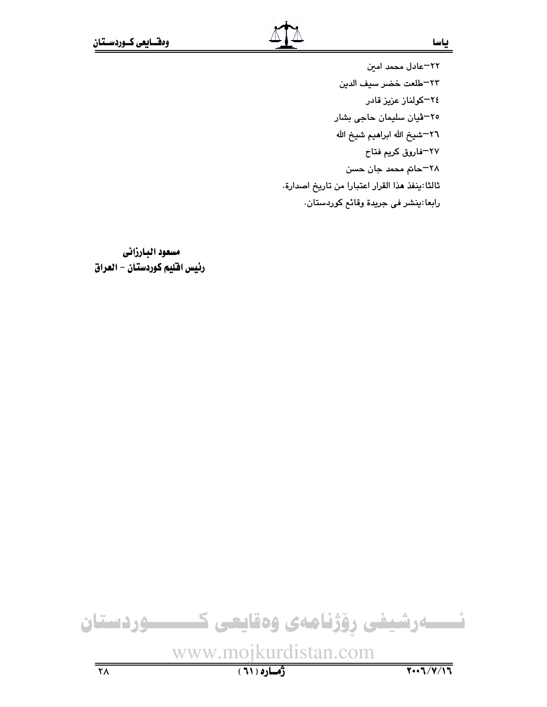٢٢-عادل محمد امين ٢٣–طلعت خضر سيف الدين ٢٤–كولناز عزيز قادر ٢٥-ڤيان سليمان حاجي بشار ٢٦–شيخ الله ابراهيم شيخ الله ٢٧–فاروق كريم فتاح ٢٨–حاتم محمد جان حسن ثالثا:ينفذ هذا القرار اعتبارا من تاريخ اصدارة. رابعا:پنشر في جريدة وقائم كوردستان.

مسعود البارزاني رئيس اقليم كوردستان - العراق

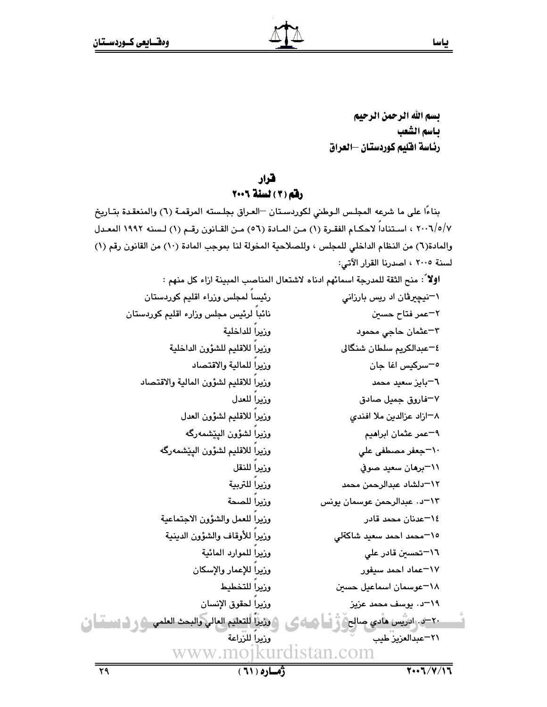بسم الله الرحمن الرحيم بياسم الشعب رئاسة اقليم كوردستان –العراق

## قرار

#### رفق (٢) لسنة ٢٠٠٦

بناءًا على ما شرعه المجلس الـوطني لكوردسـتان –العـراق بجلـسته المرقمـة (٦) والمنعقـدة بتـاريخ ٢٠٠٦/٥/٧ ، استناداً لاحكـام الفقـرة (١) مـن المـادة (٥٦) مـن القـانون رقـم (١) لـسنه ١٩٩٢ المعـدل والمادة(٦) من النظام الداخلي للمجلس ، وللصلاحية المخولة لنا بموجب المادة (١٠) من القانون رقم (١) لسنة ٢٠٠٥ ، اصدرنا القرار الآتي:

**اولا** ً: منح الثقة للمدرجة اسمائهم ادناه لاشتعال المناصب المبينة ازاء كل منهم : رئيسا لمجلس وزراء اقليم كوردستان \<sup>—</sup>نیچیرڤان اد ریس بارزانی نائباً لرئيس مجلس وزارء اقليم كوردستان ۲−عمر فتاح حسي*ن* وزيرا للداخلية ٣-عثمان حاجي محمود وزيراً للاقليم للشؤون الداخلية ٤–عبدالكريم سلطان شنگالي وزيرا للمالية والاقتصاد <sup>ہ—</sup>سرکیس اغا جان وزيرا للاقليم لشؤون المالية والاقتصاد ٦–بايز سعيد محمد وزيرا للعدل ۷–فاروق جميل صادق وزيراً للاقليم لشؤون العدل ۸–ازاد عزالدین ملا افندی وزيراً لشؤون اليێشمهرگه ۹=عمر عثمان ابرا**م**یم وزيراً للاقليم لشؤون اليێشمهرگه ۱**۰−جعفر مصطفی علی** وزيرا للنقل ٬۱۱–برهان سعید صوفی وزيرا للتربية ١٢–دلشاد عبدالرحمن محمد وزيرا للصحة ۰٫۳ تا عبدالرحمن عوسمان یونس وزيرا للعمل والشؤون الاجتماعية ١٤–عدنان محمد قادر وزيرا للأوقاف والشؤون الدينية ١٥-محمد احمد سعيد شاكةلي وزيرا للموارد المائية ۱٦–تحسی*ن* قادر علی وزيرا للإعمار والإسكان ١٧-عماد احمد سيفور وزيرا للتخطيط ١٨-عوسمان اسماعيل حسين وزيرا لحقوق الإنسان 1۹–د. یوسف محمد عزیز ) وزيزاً للتعليم العالي والبحث العلمي ﴿ وَ لَـٰ السَمْنَـٰ إِنّ ٢٠–٥. ادريس هادي صالح ٢١-عبدالعزيز طيب وزيرا للزراعة www.moikurdistan.com